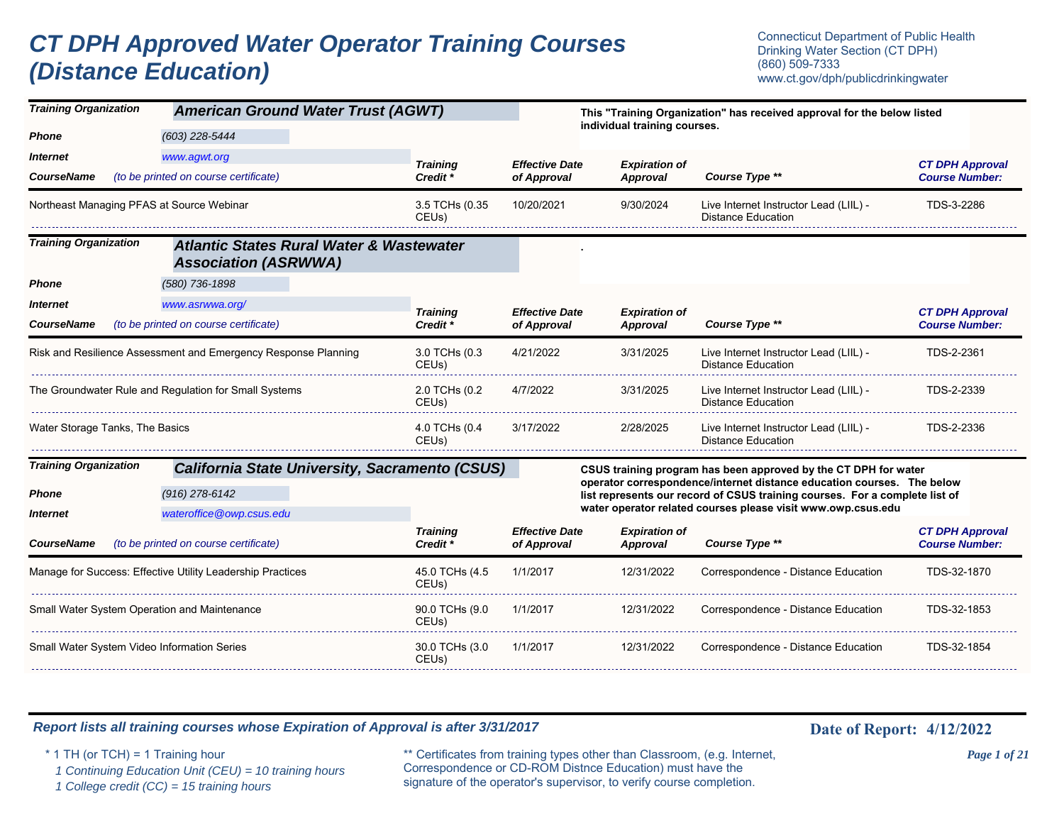# *CT DPH Approved Water Operator Training Courses (Distance Education)*

Connecticut Department of Public Health Drinking Water Section (CT DPH) (860) 509-7333 www.ct.gov/dph/publicdrinkingwater

| <b>Training Organization</b><br><b>American Ground Water Trust (AGWT)</b> |                                                                                    |                                        |                                      | This "Training Organization" has received approval for the below listed |                                                                                                                                                       |                                                 |  |
|---------------------------------------------------------------------------|------------------------------------------------------------------------------------|----------------------------------------|--------------------------------------|-------------------------------------------------------------------------|-------------------------------------------------------------------------------------------------------------------------------------------------------|-------------------------------------------------|--|
| <b>Phone</b>                                                              | (603) 228-5444                                                                     |                                        |                                      | individual training courses.                                            |                                                                                                                                                       |                                                 |  |
| <i><b>Internet</b></i>                                                    | www.agwt.org                                                                       | <b>Training</b>                        | <b>Effective Date</b>                | <b>Expiration of</b>                                                    |                                                                                                                                                       | <b>CT DPH Approval</b>                          |  |
| <b>CourseName</b>                                                         | (to be printed on course certificate)                                              | Credit *                               | of Approval                          | Approval                                                                | Course Type **                                                                                                                                        | <b>Course Number:</b>                           |  |
|                                                                           | Northeast Managing PFAS at Source Webinar                                          | 3.5 TCHs (0.35<br>CEUs)                | 10/20/2021                           | 9/30/2024                                                               | Live Internet Instructor Lead (LIIL) -<br><b>Distance Education</b>                                                                                   | TDS-3-2286                                      |  |
| <b>Training Organization</b>                                              | <b>Atlantic States Rural Water &amp; Wastewater</b><br><b>Association (ASRWWA)</b> |                                        |                                      |                                                                         |                                                                                                                                                       |                                                 |  |
| <b>Phone</b>                                                              | (580) 736-1898                                                                     |                                        |                                      |                                                                         |                                                                                                                                                       |                                                 |  |
| <i><u><b>Internet</b></u></i>                                             | www.asrwwa.org/                                                                    | <b>Training</b>                        | <b>Effective Date</b>                | <b>Expiration of</b>                                                    |                                                                                                                                                       | <b>CT DPH Approval</b>                          |  |
| <b>CourseName</b>                                                         | (to be printed on course certificate)                                              | Credit *                               | of Approval                          | Approval                                                                | Course Type **                                                                                                                                        | <b>Course Number:</b>                           |  |
|                                                                           | Risk and Resilience Assessment and Emergency Response Planning                     | 3.0 TCHs (0.3<br>CEUs)                 | 4/21/2022                            | 3/31/2025                                                               | Live Internet Instructor Lead (LIIL) -<br><b>Distance Education</b>                                                                                   | TDS-2-2361                                      |  |
|                                                                           | The Groundwater Rule and Regulation for Small Systems                              | 2.0 TCHs (0.2<br>CEUs)                 | 4/7/2022                             | 3/31/2025                                                               | Live Internet Instructor Lead (LIIL) -<br><b>Distance Education</b>                                                                                   | TDS-2-2339                                      |  |
| Water Storage Tanks, The Basics                                           |                                                                                    | 4.0 TCHs (0.4<br>CEUs)                 | 3/17/2022                            | 2/28/2025                                                               | Live Internet Instructor Lead (LIIL) -<br><b>Distance Education</b>                                                                                   | TDS-2-2336                                      |  |
| <b>Training Organization</b>                                              | <b>California State University, Sacramento (CSUS)</b>                              |                                        |                                      |                                                                         | CSUS training program has been approved by the CT DPH for water                                                                                       |                                                 |  |
| <b>Phone</b>                                                              | (916) 278-6142                                                                     |                                        |                                      |                                                                         | operator correspondence/internet distance education courses. The below<br>list represents our record of CSUS training courses. For a complete list of |                                                 |  |
| <i><b>Internet</b></i>                                                    | wateroffice@owp.csus.edu                                                           |                                        |                                      |                                                                         | water operator related courses please visit www.owp.csus.edu                                                                                          |                                                 |  |
| <b>CourseName</b>                                                         | (to be printed on course certificate)                                              | <b>Training</b><br>Credit <sup>*</sup> | <b>Effective Date</b><br>of Approval | <b>Expiration of</b><br>Approval                                        | Course Type **                                                                                                                                        | <b>CT DPH Approval</b><br><b>Course Number:</b> |  |
|                                                                           | Manage for Success: Effective Utility Leadership Practices                         | 45.0 TCHs (4.5<br>CEUs)                | 1/1/2017                             | 12/31/2022                                                              | Correspondence - Distance Education                                                                                                                   | TDS-32-1870                                     |  |
|                                                                           | Small Water System Operation and Maintenance                                       | 90.0 TCHs (9.0<br>CEUs)                | 1/1/2017                             | 12/31/2022                                                              | Correspondence - Distance Education                                                                                                                   | TDS-32-1853                                     |  |
|                                                                           | <b>Small Water System Video Information Series</b>                                 | 30.0 TCHs (3.0<br>CEUs)                | 1/1/2017                             | 12/31/2022                                                              | Correspondence - Distance Education                                                                                                                   | TDS-32-1854                                     |  |

### *Report lists all training courses whose Expiration of Approval is after 3/31/2017* **Date 19th Date of Report:** 4/12/2022

 *1 Continuing Education Unit (CEU) = 10 training hours*

 *1 College credit (CC) = 15 training hours*

\* 1 TH (or TCH) = 1 Training hour \*\* Certificates from training types other than Classroom, (e.g. Internet, *Page 1 of 21* Correspondence or CD-ROM Distnce Education) must have the signature of the operator's supervisor, to verify course completion.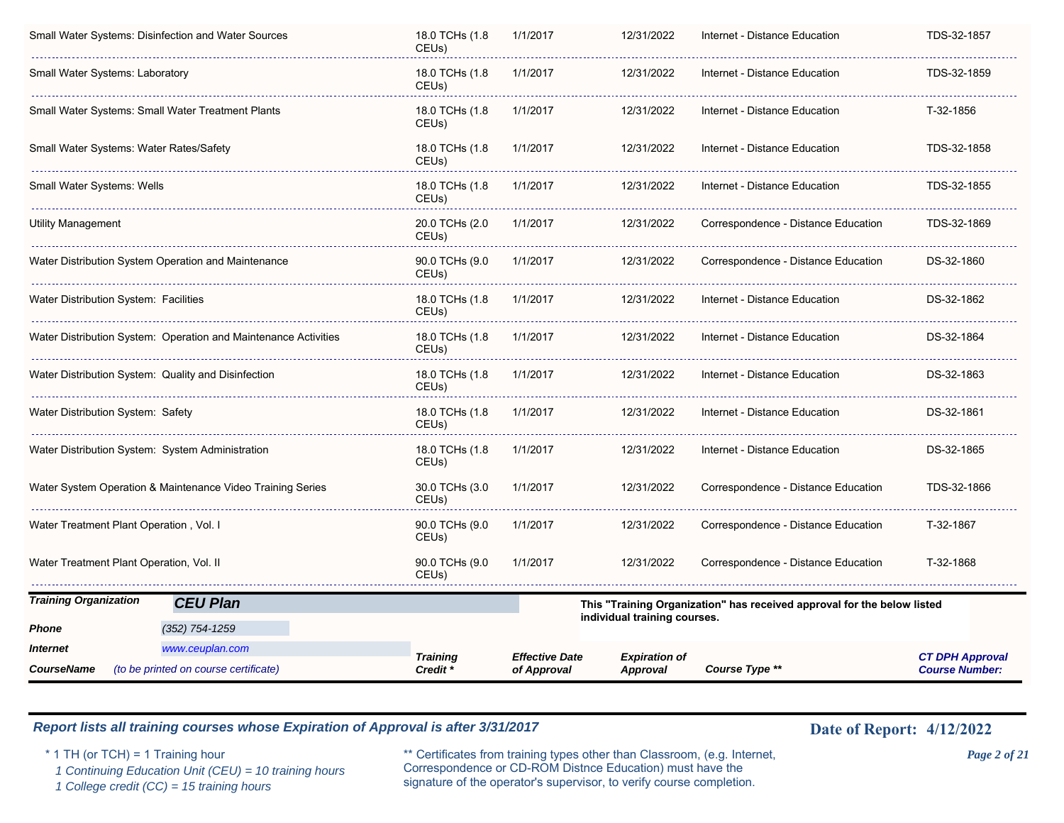|                                                     | Small Water Systems: Disinfection and Water Sources             | 18.0 TCHs (1.8)<br>CEUs)               | 1/1/2017                             | 12/31/2022                              | Internet - Distance Education                                           | TDS-32-1857                                     |
|-----------------------------------------------------|-----------------------------------------------------------------|----------------------------------------|--------------------------------------|-----------------------------------------|-------------------------------------------------------------------------|-------------------------------------------------|
| Small Water Systems: Laboratory                     |                                                                 | 18.0 TCHs (1.8)<br>CEUs)               | 1/1/2017                             | 12/31/2022                              | Internet - Distance Education                                           | TDS-32-1859                                     |
|                                                     | Small Water Systems: Small Water Treatment Plants               | 18.0 TCHs (1.8<br>CEUs)                | 1/1/2017                             | 12/31/2022                              | Internet - Distance Education                                           | T-32-1856                                       |
| Small Water Systems: Water Rates/Safety             |                                                                 | 18.0 TCHs (1.8)<br>CEUs)               | 1/1/2017                             | 12/31/2022                              | Internet - Distance Education                                           | TDS-32-1858                                     |
| Small Water Systems: Wells                          |                                                                 | 18.0 TCHs (1.8<br>CEUs)                | 1/1/2017                             | 12/31/2022                              | Internet - Distance Education                                           | TDS-32-1855                                     |
| Utility Management                                  |                                                                 | 20.0 TCHs (2.0<br>CEUs)                | 1/1/2017                             | 12/31/2022                              | Correspondence - Distance Education                                     | TDS-32-1869                                     |
|                                                     | Water Distribution System Operation and Maintenance             | 90.0 TCHs (9.0<br>CEUs)                | 1/1/2017                             | 12/31/2022                              | Correspondence - Distance Education                                     | DS-32-1860                                      |
| Water Distribution System: Facilities               |                                                                 | 18.0 TCHs (1.8)<br>CEUs)               | 1/1/2017                             | 12/31/2022                              | Internet - Distance Education                                           | DS-32-1862                                      |
|                                                     | Water Distribution System: Operation and Maintenance Activities | 18.0 TCHs (1.8)<br>CEUs)               | 1/1/2017                             | 12/31/2022                              | Internet - Distance Education                                           | DS-32-1864                                      |
| Water Distribution System: Quality and Disinfection |                                                                 | 18.0 TCHs (1.8)<br>CEUs)               | 1/1/2017                             | 12/31/2022                              | Internet - Distance Education                                           | DS-32-1863                                      |
| Water Distribution System: Safety                   |                                                                 | 18.0 TCHs (1.8<br>CEUs)                | 1/1/2017                             | 12/31/2022                              | Internet - Distance Education                                           | DS-32-1861                                      |
| Water Distribution System: System Administration    |                                                                 | 18.0 TCHs (1.8)<br>CEUs)               | 1/1/2017                             | 12/31/2022                              | Internet - Distance Education                                           | DS-32-1865                                      |
|                                                     | Water System Operation & Maintenance Video Training Series      | 30.0 TCHs (3.0<br>CEUs)                | 1/1/2017                             | 12/31/2022                              | Correspondence - Distance Education                                     | TDS-32-1866                                     |
| Water Treatment Plant Operation , Vol. I            |                                                                 | 90.0 TCHs (9.0<br>CEUs)                | 1/1/2017                             | 12/31/2022                              | Correspondence - Distance Education                                     | T-32-1867                                       |
| Water Treatment Plant Operation, Vol. II            |                                                                 | 90.0 TCHs (9.0<br>CEUs)                | 1/1/2017                             | 12/31/2022                              | Correspondence - Distance Education                                     | T-32-1868                                       |
| <b>Training Organization</b>                        | <b>CEU Plan</b>                                                 |                                        |                                      |                                         | This "Training Organization" has received approval for the below listed |                                                 |
| Phone                                               | $(352)$ 754-1259                                                |                                        |                                      | individual training courses.            |                                                                         |                                                 |
| <i><b>Internet</b></i>                              | www.ceuplan.com                                                 |                                        |                                      |                                         |                                                                         |                                                 |
| <b>CourseName</b>                                   | (to be printed on course certificate)                           | <b>Training</b><br>Credit <sup>*</sup> | <b>Effective Date</b><br>of Approval | <b>Expiration of</b><br><b>Approval</b> | Course Type **                                                          | <b>CT DPH Approval</b><br><b>Course Number:</b> |

 *1 Continuing Education Unit (CEU) = 10 training hours*

 *1 College credit (CC) = 15 training hours*

\* 1 TH (or TCH) = 1 Training hour \*\* Certificates from training types other than Classroom, (e.g. Internet, *Page 2 of 21* Correspondence or CD-ROM Distnce Education) must have the signature of the operator's supervisor, to verify course completion.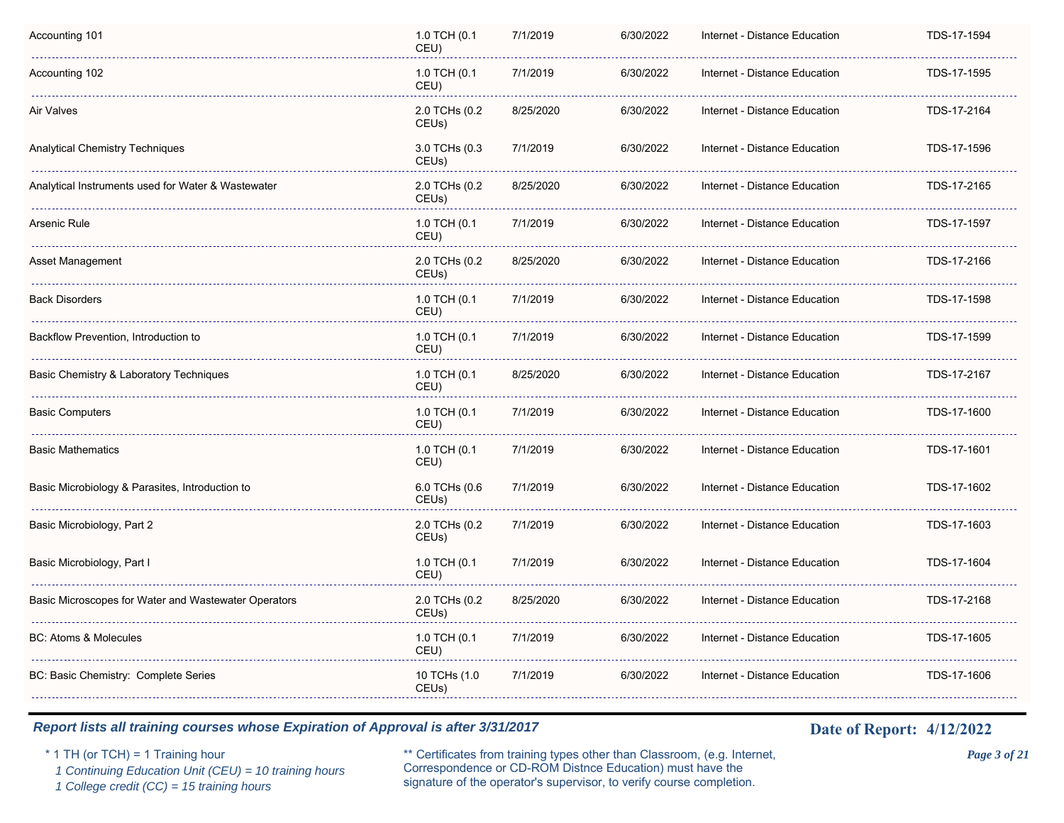| Accounting 101                                       | 1.0 TCH (0.1<br>CEU)   | 7/1/2019  | 6/30/2022 | Internet - Distance Education | TDS-17-1594 |
|------------------------------------------------------|------------------------|-----------|-----------|-------------------------------|-------------|
| Accounting 102                                       | 1.0 TCH (0.1<br>CEU)   | 7/1/2019  | 6/30/2022 | Internet - Distance Education | TDS-17-1595 |
| Air Valves                                           | 2.0 TCHs (0.2<br>CEUs) | 8/25/2020 | 6/30/2022 | Internet - Distance Education | TDS-17-2164 |
| <b>Analytical Chemistry Techniques</b>               | 3.0 TCHs (0.3<br>CEUs) | 7/1/2019  | 6/30/2022 | Internet - Distance Education | TDS-17-1596 |
| Analytical Instruments used for Water & Wastewater   | 2.0 TCHs (0.2<br>CEUs) | 8/25/2020 | 6/30/2022 | Internet - Distance Education | TDS-17-2165 |
| Arsenic Rule                                         | 1.0 TCH (0.1<br>CEU)   | 7/1/2019  | 6/30/2022 | Internet - Distance Education | TDS-17-1597 |
| Asset Management                                     | 2.0 TCHs (0.2<br>CEUs) | 8/25/2020 | 6/30/2022 | Internet - Distance Education | TDS-17-2166 |
| <b>Back Disorders</b>                                | 1.0 TCH (0.1<br>CEU)   | 7/1/2019  | 6/30/2022 | Internet - Distance Education | TDS-17-1598 |
| Backflow Prevention, Introduction to                 | 1.0 TCH (0.1<br>CEU)   | 7/1/2019  | 6/30/2022 | Internet - Distance Education | TDS-17-1599 |
| Basic Chemistry & Laboratory Techniques              | 1.0 TCH (0.1<br>CEU)   | 8/25/2020 | 6/30/2022 | Internet - Distance Education | TDS-17-2167 |
| <b>Basic Computers</b>                               | 1.0 TCH (0.1<br>CEU)   | 7/1/2019  | 6/30/2022 | Internet - Distance Education | TDS-17-1600 |
| <b>Basic Mathematics</b>                             | 1.0 TCH (0.1<br>CEU)   | 7/1/2019  | 6/30/2022 | Internet - Distance Education | TDS-17-1601 |
| Basic Microbiology & Parasites, Introduction to      | 6.0 TCHs (0.6<br>CEUs) | 7/1/2019  | 6/30/2022 | Internet - Distance Education | TDS-17-1602 |
| Basic Microbiology, Part 2                           | 2.0 TCHs (0.2<br>CEUs) | 7/1/2019  | 6/30/2022 | Internet - Distance Education | TDS-17-1603 |
| Basic Microbiology, Part I                           | 1.0 TCH (0.1<br>CEU)   | 7/1/2019  | 6/30/2022 | Internet - Distance Education | TDS-17-1604 |
| Basic Microscopes for Water and Wastewater Operators | 2.0 TCHs (0.2<br>CEUs) | 8/25/2020 | 6/30/2022 | Internet - Distance Education | TDS-17-2168 |
| <b>BC: Atoms &amp; Molecules</b>                     | 1.0 TCH (0.1<br>CEU)   | 7/1/2019  | 6/30/2022 | Internet - Distance Education | TDS-17-1605 |
| BC: Basic Chemistry: Complete Series                 | 10 TCHs (1.0<br>CEUs)  | 7/1/2019  | 6/30/2022 | Internet - Distance Education | TDS-17-1606 |

 *1 Continuing Education Unit (CEU) = 10 training hours*

 *1 College credit (CC) = 15 training hours*

\* 1 TH (or TCH) = 1 Training hour \*\* Certificates from training types other than Classroom, (e.g. Internet, *Page 3 of 21* Correspondence or CD-ROM Distnce Education) must have the signature of the operator's supervisor, to verify course completion.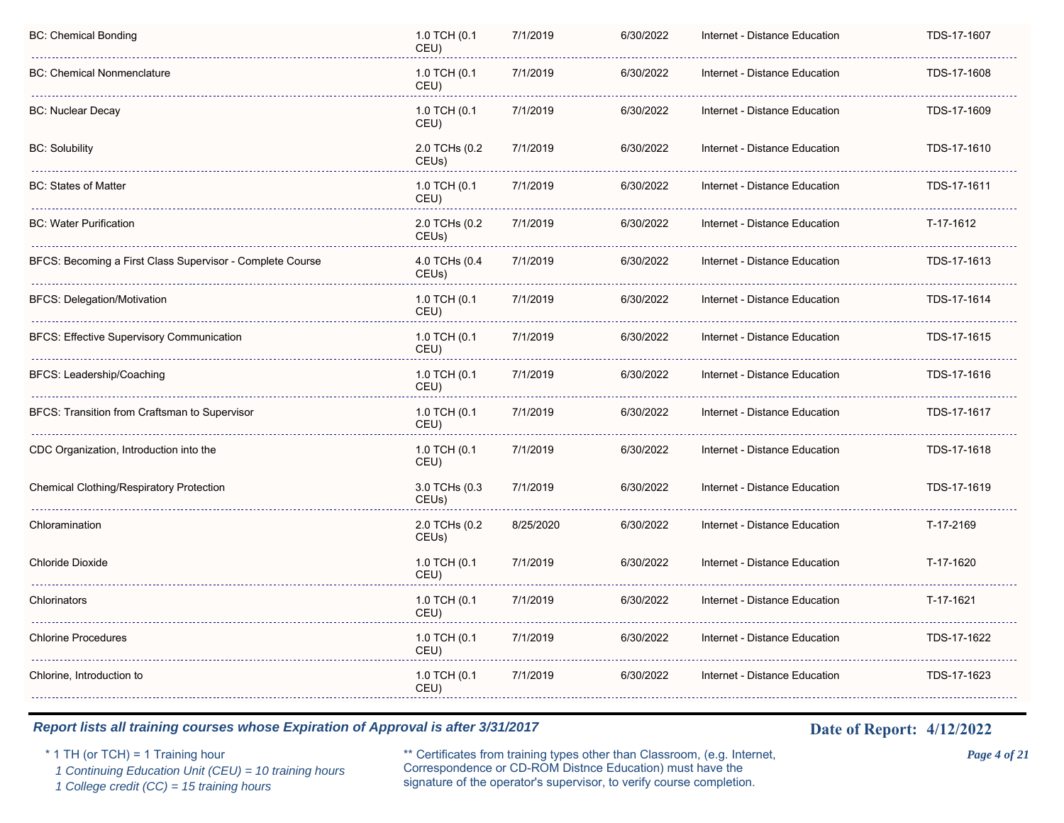| <b>BC: Chemical Bonding</b>                               | 1.0 TCH (0.1<br>CEU)                | 7/1/2019  | 6/30/2022 | Internet - Distance Education | TDS-17-1607 |
|-----------------------------------------------------------|-------------------------------------|-----------|-----------|-------------------------------|-------------|
| <b>BC: Chemical Nonmenclature</b>                         | 1.0 TCH (0.1<br>CEU)                | 7/1/2019  | 6/30/2022 | Internet - Distance Education | TDS-17-1608 |
| <b>BC: Nuclear Decay</b>                                  | 1.0 TCH (0.1<br>CEU)                | 7/1/2019  | 6/30/2022 | Internet - Distance Education | TDS-17-1609 |
| <b>BC: Solubility</b>                                     | 2.0 TCHs (0.2<br>CEUs)              | 7/1/2019  | 6/30/2022 | Internet - Distance Education | TDS-17-1610 |
| <b>BC: States of Matter</b>                               | 1.0 TCH (0.1<br>CEU)                | 7/1/2019  | 6/30/2022 | Internet - Distance Education | TDS-17-1611 |
| <b>BC: Water Purification</b>                             | 2.0 TCHs (0.2<br>CEUs)              | 7/1/2019  | 6/30/2022 | Internet - Distance Education | T-17-1612   |
| BFCS: Becoming a First Class Supervisor - Complete Course | 4.0 TCHs (0.4<br>CEU <sub>s</sub> ) | 7/1/2019  | 6/30/2022 | Internet - Distance Education | TDS-17-1613 |
| <b>BFCS: Delegation/Motivation</b>                        | 1.0 TCH (0.1<br>CEU)                | 7/1/2019  | 6/30/2022 | Internet - Distance Education | TDS-17-1614 |
| <b>BFCS: Effective Supervisory Communication</b>          | 1.0 TCH (0.1<br>CEU)                | 7/1/2019  | 6/30/2022 | Internet - Distance Education | TDS-17-1615 |
| BFCS: Leadership/Coaching                                 | 1.0 TCH (0.1<br>CEU)                | 7/1/2019  | 6/30/2022 | Internet - Distance Education | TDS-17-1616 |
| BFCS: Transition from Craftsman to Supervisor             | 1.0 TCH (0.1<br>CEU)                | 7/1/2019  | 6/30/2022 | Internet - Distance Education | TDS-17-1617 |
| CDC Organization, Introduction into the                   | 1.0 TCH (0.1<br>CEU)                | 7/1/2019  | 6/30/2022 | Internet - Distance Education | TDS-17-1618 |
| <b>Chemical Clothing/Respiratory Protection</b>           | 3.0 TCHs (0.3<br>CEUs)              | 7/1/2019  | 6/30/2022 | Internet - Distance Education | TDS-17-1619 |
| Chloramination                                            | 2.0 TCHs (0.2<br>CEUs)              | 8/25/2020 | 6/30/2022 | Internet - Distance Education | T-17-2169   |
| Chloride Dioxide                                          | 1.0 TCH (0.1<br>CEU)                | 7/1/2019  | 6/30/2022 | Internet - Distance Education | T-17-1620   |
| Chlorinators                                              | 1.0 TCH (0.1<br>CEU)                | 7/1/2019  | 6/30/2022 | Internet - Distance Education | T-17-1621   |
| <b>Chlorine Procedures</b>                                | 1.0 TCH (0.1<br>CEU)                | 7/1/2019  | 6/30/2022 | Internet - Distance Education | TDS-17-1622 |
| Chlorine, Introduction to                                 | 1.0 TCH (0.1<br>CEU)                | 7/1/2019  | 6/30/2022 | Internet - Distance Education | TDS-17-1623 |

 *1 Continuing Education Unit (CEU) = 10 training hours*

 *1 College credit (CC) = 15 training hours*

\* 1 TH (or TCH) = 1 Training hour \*\* Certificates from training types other than Classroom, (e.g. Internet, *Page 4 of 21* Correspondence or CD-ROM Distnce Education) must have the signature of the operator's supervisor, to verify course completion.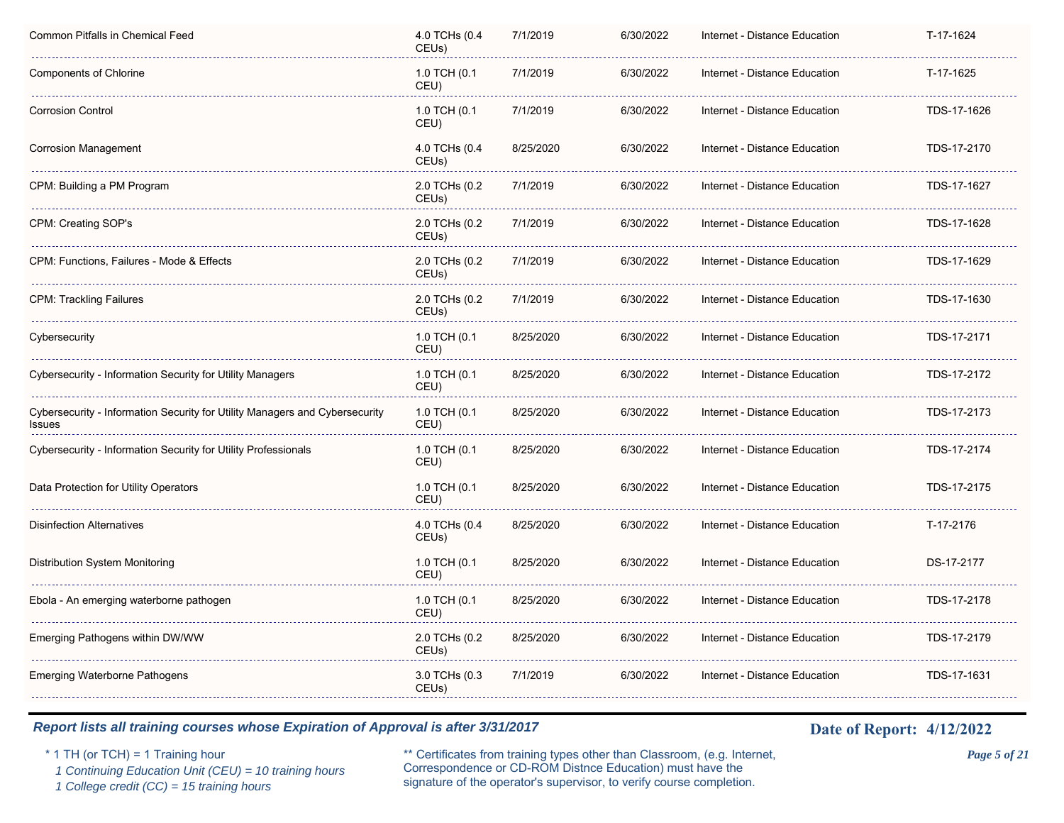| 4.0 TCHs (0.4<br>CEUs)              | 7/1/2019  | 6/30/2022 | Internet - Distance Education | T-17-1624   |
|-------------------------------------|-----------|-----------|-------------------------------|-------------|
| 1.0 TCH (0.1<br>CEU)                | 7/1/2019  | 6/30/2022 | Internet - Distance Education | T-17-1625   |
| 1.0 TCH (0.1<br>CEU)                | 7/1/2019  | 6/30/2022 | Internet - Distance Education | TDS-17-1626 |
| 4.0 TCHs (0.4<br>CEUs)              | 8/25/2020 | 6/30/2022 | Internet - Distance Education | TDS-17-2170 |
| 2.0 TCHs (0.2<br>CEU <sub>s</sub> ) | 7/1/2019  | 6/30/2022 | Internet - Distance Education | TDS-17-1627 |
| 2.0 TCHs (0.2<br>CEU <sub>s</sub> ) | 7/1/2019  | 6/30/2022 | Internet - Distance Education | TDS-17-1628 |
| 2.0 TCHs (0.2<br>CEU <sub>s</sub> ) | 7/1/2019  | 6/30/2022 | Internet - Distance Education | TDS-17-1629 |
| 2.0 TCHs (0.2<br>CEUs)              | 7/1/2019  | 6/30/2022 | Internet - Distance Education | TDS-17-1630 |
| 1.0 TCH (0.1<br>CEU)                | 8/25/2020 | 6/30/2022 | Internet - Distance Education | TDS-17-2171 |
| 1.0 TCH (0.1<br>CEU)                | 8/25/2020 | 6/30/2022 | Internet - Distance Education | TDS-17-2172 |
| 1.0 TCH (0.1<br>CEU)                | 8/25/2020 | 6/30/2022 | Internet - Distance Education | TDS-17-2173 |
| 1.0 TCH (0.1<br>CEU)                | 8/25/2020 | 6/30/2022 | Internet - Distance Education | TDS-17-2174 |
| 1.0 TCH (0.1<br>CEU)                | 8/25/2020 | 6/30/2022 | Internet - Distance Education | TDS-17-2175 |
| 4.0 TCHs (0.4<br>CEUs)              | 8/25/2020 | 6/30/2022 | Internet - Distance Education | T-17-2176   |
| 1.0 TCH (0.1<br>CEU)                | 8/25/2020 | 6/30/2022 | Internet - Distance Education | DS-17-2177  |
| 1.0 TCH (0.1<br>CEU)                | 8/25/2020 | 6/30/2022 | Internet - Distance Education | TDS-17-2178 |
| 2.0 TCHs (0.2<br>CEUs)              | 8/25/2020 | 6/30/2022 | Internet - Distance Education | TDS-17-2179 |
| 3.0 TCHs (0.3<br>CEUs)              | 7/1/2019  | 6/30/2022 | Internet - Distance Education | TDS-17-1631 |
|                                     |           |           |                               |             |

 *1 Continuing Education Unit (CEU) = 10 training hours*

 *1 College credit (CC) = 15 training hours*

\* 1 TH (or TCH) = 1 Training hour \*\* Certificates from training types other than Classroom, (e.g. Internet, *Page 5 of 21* Correspondence or CD-ROM Distnce Education) must have the signature of the operator's supervisor, to verify course completion.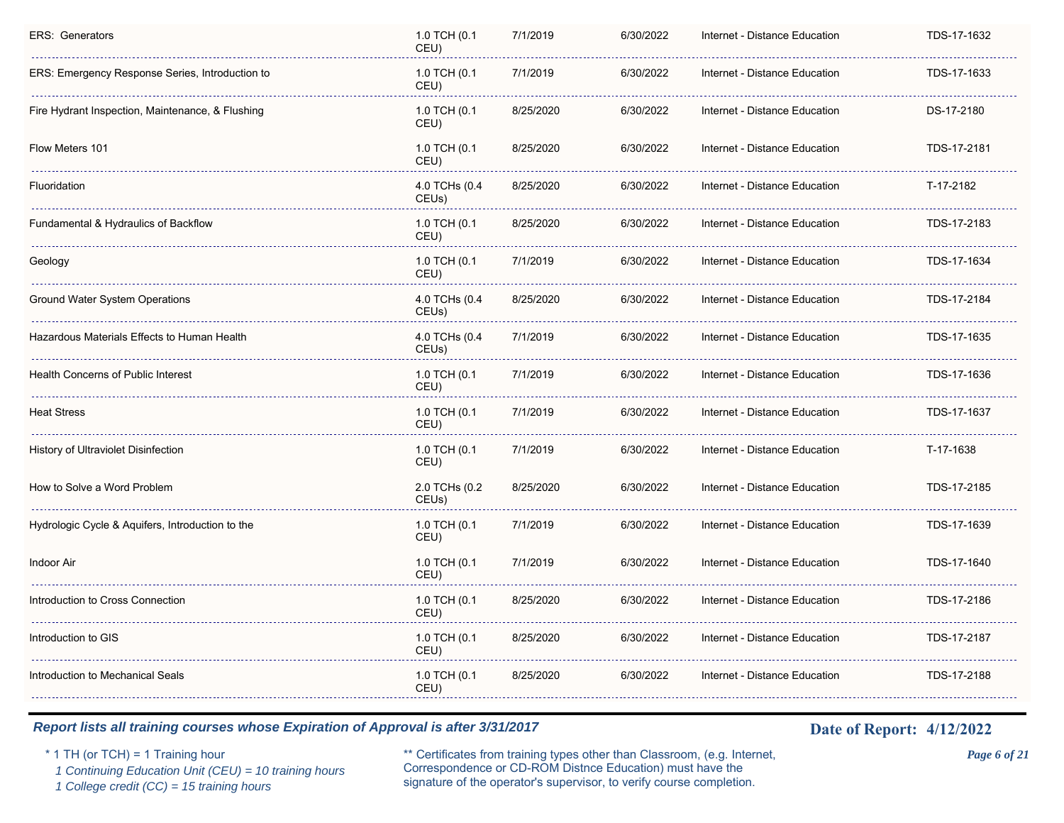| ERS: Emergency Response Series, Introduction to<br>1.0 TCH (0.1<br>7/1/2019<br>6/30/2022<br>Internet - Distance Education<br>TDS-17-1633<br>CEU)<br>Fire Hydrant Inspection, Maintenance, & Flushing<br>1.0 TCH (0.1<br>8/25/2020<br>6/30/2022<br>DS-17-2180<br>Internet - Distance Education<br>CEU)<br>6/30/2022<br>Flow Meters 101<br>1.0 TCH (0.1<br>8/25/2020<br>Internet - Distance Education<br>TDS-17-2181<br>CEU)<br>Fluoridation<br>4.0 TCHs (0.4<br>8/25/2020<br>6/30/2022<br>T-17-2182<br>Internet - Distance Education<br>CEUs)<br>1.0 TCH (0.1<br>8/25/2020<br>6/30/2022<br>Internet - Distance Education<br>TDS-17-2183<br>Fundamental & Hydraulics of Backflow<br>CEU)<br>1.0 TCH (0.1<br>7/1/2019<br>6/30/2022<br>TDS-17-1634<br>Geology<br>Internet - Distance Education<br>CEU)<br>4.0 TCHs (0.4<br>Ground Water System Operations<br>8/25/2020<br>6/30/2022<br>Internet - Distance Education<br>TDS-17-2184<br>CEUs)<br>Hazardous Materials Effects to Human Health<br>4.0 TCHs (0.4<br>7/1/2019<br>6/30/2022<br>Internet - Distance Education<br>TDS-17-1635<br>CEUs)<br>Health Concerns of Public Interest<br>1.0 TCH (0.1<br>7/1/2019<br>6/30/2022<br>TDS-17-1636<br>Internet - Distance Education<br>CEU)<br>1.0 TCH (0.1<br>Heat Stress<br>7/1/2019<br>6/30/2022<br>Internet - Distance Education<br>TDS-17-1637<br>CEU)<br>History of Ultraviolet Disinfection<br>1.0 TCH (0.1<br>7/1/2019<br>6/30/2022<br>Internet - Distance Education<br>T-17-1638<br>CEU)<br>2.0 TCHs (0.2<br>8/25/2020<br>6/30/2022<br>TDS-17-2185<br>How to Solve a Word Problem<br>Internet - Distance Education<br>CEUs)<br>Hydrologic Cycle & Aquifers, Introduction to the<br>1.0 TCH (0.1<br>7/1/2019<br>6/30/2022<br>Internet - Distance Education<br>TDS-17-1639<br>CEU)<br>Indoor Air<br>1.0 TCH (0.1<br>7/1/2019<br>6/30/2022<br>Internet - Distance Education<br>TDS-17-1640<br>CEU)<br>1.0 TCH (0.1<br>Introduction to Cross Connection<br>8/25/2020<br>6/30/2022<br>Internet - Distance Education<br>TDS-17-2186<br>CEU)<br>1.0 TCH (0.1<br>6/30/2022<br>Introduction to GIS<br>8/25/2020<br>Internet - Distance Education<br>TDS-17-2187<br>CEU)<br>1.0 TCH (0.1<br>Introduction to Mechanical Seals<br>8/25/2020<br>6/30/2022<br>Internet - Distance Education<br>TDS-17-2188<br>CEU) | <b>ERS: Generators</b> | 1.0 TCH (0.1<br>CEU) | 7/1/2019 | 6/30/2022 | Internet - Distance Education | TDS-17-1632 |
|-----------------------------------------------------------------------------------------------------------------------------------------------------------------------------------------------------------------------------------------------------------------------------------------------------------------------------------------------------------------------------------------------------------------------------------------------------------------------------------------------------------------------------------------------------------------------------------------------------------------------------------------------------------------------------------------------------------------------------------------------------------------------------------------------------------------------------------------------------------------------------------------------------------------------------------------------------------------------------------------------------------------------------------------------------------------------------------------------------------------------------------------------------------------------------------------------------------------------------------------------------------------------------------------------------------------------------------------------------------------------------------------------------------------------------------------------------------------------------------------------------------------------------------------------------------------------------------------------------------------------------------------------------------------------------------------------------------------------------------------------------------------------------------------------------------------------------------------------------------------------------------------------------------------------------------------------------------------------------------------------------------------------------------------------------------------------------------------------------------------------------------------------------------------------------------------------------------------------------------------------------------------------------------------------------|------------------------|----------------------|----------|-----------|-------------------------------|-------------|
|                                                                                                                                                                                                                                                                                                                                                                                                                                                                                                                                                                                                                                                                                                                                                                                                                                                                                                                                                                                                                                                                                                                                                                                                                                                                                                                                                                                                                                                                                                                                                                                                                                                                                                                                                                                                                                                                                                                                                                                                                                                                                                                                                                                                                                                                                                     |                        |                      |          |           |                               |             |
|                                                                                                                                                                                                                                                                                                                                                                                                                                                                                                                                                                                                                                                                                                                                                                                                                                                                                                                                                                                                                                                                                                                                                                                                                                                                                                                                                                                                                                                                                                                                                                                                                                                                                                                                                                                                                                                                                                                                                                                                                                                                                                                                                                                                                                                                                                     |                        |                      |          |           |                               |             |
|                                                                                                                                                                                                                                                                                                                                                                                                                                                                                                                                                                                                                                                                                                                                                                                                                                                                                                                                                                                                                                                                                                                                                                                                                                                                                                                                                                                                                                                                                                                                                                                                                                                                                                                                                                                                                                                                                                                                                                                                                                                                                                                                                                                                                                                                                                     |                        |                      |          |           |                               |             |
|                                                                                                                                                                                                                                                                                                                                                                                                                                                                                                                                                                                                                                                                                                                                                                                                                                                                                                                                                                                                                                                                                                                                                                                                                                                                                                                                                                                                                                                                                                                                                                                                                                                                                                                                                                                                                                                                                                                                                                                                                                                                                                                                                                                                                                                                                                     |                        |                      |          |           |                               |             |
|                                                                                                                                                                                                                                                                                                                                                                                                                                                                                                                                                                                                                                                                                                                                                                                                                                                                                                                                                                                                                                                                                                                                                                                                                                                                                                                                                                                                                                                                                                                                                                                                                                                                                                                                                                                                                                                                                                                                                                                                                                                                                                                                                                                                                                                                                                     |                        |                      |          |           |                               |             |
|                                                                                                                                                                                                                                                                                                                                                                                                                                                                                                                                                                                                                                                                                                                                                                                                                                                                                                                                                                                                                                                                                                                                                                                                                                                                                                                                                                                                                                                                                                                                                                                                                                                                                                                                                                                                                                                                                                                                                                                                                                                                                                                                                                                                                                                                                                     |                        |                      |          |           |                               |             |
|                                                                                                                                                                                                                                                                                                                                                                                                                                                                                                                                                                                                                                                                                                                                                                                                                                                                                                                                                                                                                                                                                                                                                                                                                                                                                                                                                                                                                                                                                                                                                                                                                                                                                                                                                                                                                                                                                                                                                                                                                                                                                                                                                                                                                                                                                                     |                        |                      |          |           |                               |             |
|                                                                                                                                                                                                                                                                                                                                                                                                                                                                                                                                                                                                                                                                                                                                                                                                                                                                                                                                                                                                                                                                                                                                                                                                                                                                                                                                                                                                                                                                                                                                                                                                                                                                                                                                                                                                                                                                                                                                                                                                                                                                                                                                                                                                                                                                                                     |                        |                      |          |           |                               |             |
|                                                                                                                                                                                                                                                                                                                                                                                                                                                                                                                                                                                                                                                                                                                                                                                                                                                                                                                                                                                                                                                                                                                                                                                                                                                                                                                                                                                                                                                                                                                                                                                                                                                                                                                                                                                                                                                                                                                                                                                                                                                                                                                                                                                                                                                                                                     |                        |                      |          |           |                               |             |
|                                                                                                                                                                                                                                                                                                                                                                                                                                                                                                                                                                                                                                                                                                                                                                                                                                                                                                                                                                                                                                                                                                                                                                                                                                                                                                                                                                                                                                                                                                                                                                                                                                                                                                                                                                                                                                                                                                                                                                                                                                                                                                                                                                                                                                                                                                     |                        |                      |          |           |                               |             |
|                                                                                                                                                                                                                                                                                                                                                                                                                                                                                                                                                                                                                                                                                                                                                                                                                                                                                                                                                                                                                                                                                                                                                                                                                                                                                                                                                                                                                                                                                                                                                                                                                                                                                                                                                                                                                                                                                                                                                                                                                                                                                                                                                                                                                                                                                                     |                        |                      |          |           |                               |             |
|                                                                                                                                                                                                                                                                                                                                                                                                                                                                                                                                                                                                                                                                                                                                                                                                                                                                                                                                                                                                                                                                                                                                                                                                                                                                                                                                                                                                                                                                                                                                                                                                                                                                                                                                                                                                                                                                                                                                                                                                                                                                                                                                                                                                                                                                                                     |                        |                      |          |           |                               |             |
|                                                                                                                                                                                                                                                                                                                                                                                                                                                                                                                                                                                                                                                                                                                                                                                                                                                                                                                                                                                                                                                                                                                                                                                                                                                                                                                                                                                                                                                                                                                                                                                                                                                                                                                                                                                                                                                                                                                                                                                                                                                                                                                                                                                                                                                                                                     |                        |                      |          |           |                               |             |
|                                                                                                                                                                                                                                                                                                                                                                                                                                                                                                                                                                                                                                                                                                                                                                                                                                                                                                                                                                                                                                                                                                                                                                                                                                                                                                                                                                                                                                                                                                                                                                                                                                                                                                                                                                                                                                                                                                                                                                                                                                                                                                                                                                                                                                                                                                     |                        |                      |          |           |                               |             |
|                                                                                                                                                                                                                                                                                                                                                                                                                                                                                                                                                                                                                                                                                                                                                                                                                                                                                                                                                                                                                                                                                                                                                                                                                                                                                                                                                                                                                                                                                                                                                                                                                                                                                                                                                                                                                                                                                                                                                                                                                                                                                                                                                                                                                                                                                                     |                        |                      |          |           |                               |             |
|                                                                                                                                                                                                                                                                                                                                                                                                                                                                                                                                                                                                                                                                                                                                                                                                                                                                                                                                                                                                                                                                                                                                                                                                                                                                                                                                                                                                                                                                                                                                                                                                                                                                                                                                                                                                                                                                                                                                                                                                                                                                                                                                                                                                                                                                                                     |                        |                      |          |           |                               |             |
|                                                                                                                                                                                                                                                                                                                                                                                                                                                                                                                                                                                                                                                                                                                                                                                                                                                                                                                                                                                                                                                                                                                                                                                                                                                                                                                                                                                                                                                                                                                                                                                                                                                                                                                                                                                                                                                                                                                                                                                                                                                                                                                                                                                                                                                                                                     |                        |                      |          |           |                               |             |

 *1 Continuing Education Unit (CEU) = 10 training hours*

 *1 College credit (CC) = 15 training hours*

\* 1 TH (or TCH) = 1 Training hour \*\* Certificates from training types other than Classroom, (e.g. Internet, *Page 6 of 21* Correspondence or CD-ROM Distnce Education) must have the signature of the operator's supervisor, to verify course completion.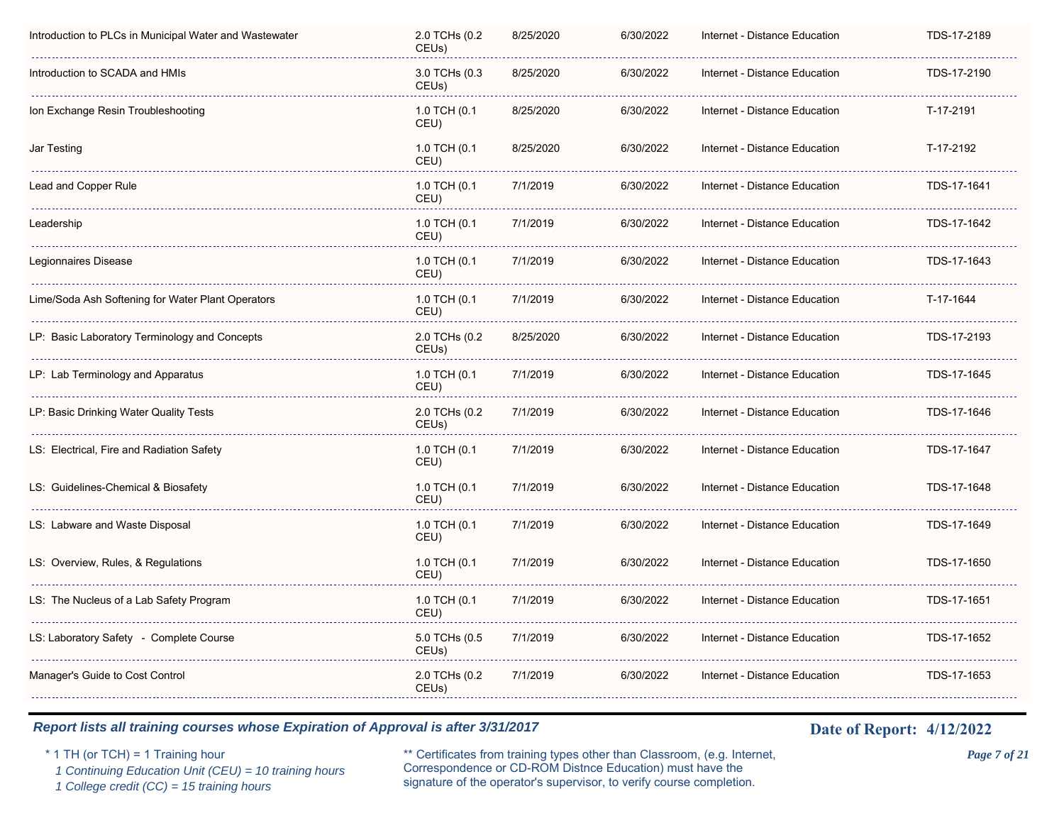| Introduction to PLCs in Municipal Water and Wastewater | 2.0 TCHs (0.2<br>CEU <sub>s</sub> ) | 8/25/2020 | 6/30/2022 | Internet - Distance Education | TDS-17-2189 |
|--------------------------------------------------------|-------------------------------------|-----------|-----------|-------------------------------|-------------|
| Introduction to SCADA and HMIs                         | 3.0 TCHs (0.3<br>CEU <sub>s</sub> ) | 8/25/2020 | 6/30/2022 | Internet - Distance Education | TDS-17-2190 |
| Ion Exchange Resin Troubleshooting                     | 1.0 TCH (0.1<br>CEU)                | 8/25/2020 | 6/30/2022 | Internet - Distance Education | T-17-2191   |
| Jar Testing                                            | 1.0 TCH (0.1<br>CEU)                | 8/25/2020 | 6/30/2022 | Internet - Distance Education | T-17-2192   |
| Lead and Copper Rule                                   | 1.0 TCH (0.1<br>CEU)                | 7/1/2019  | 6/30/2022 | Internet - Distance Education | TDS-17-1641 |
| Leadership                                             | 1.0 TCH (0.1<br>CEU)                | 7/1/2019  | 6/30/2022 | Internet - Distance Education | TDS-17-1642 |
| Legionnaires Disease                                   | 1.0 TCH (0.1<br>CEU)                | 7/1/2019  | 6/30/2022 | Internet - Distance Education | TDS-17-1643 |
| Lime/Soda Ash Softening for Water Plant Operators      | 1.0 TCH (0.1<br>CEU)                | 7/1/2019  | 6/30/2022 | Internet - Distance Education | T-17-1644   |
| LP: Basic Laboratory Terminology and Concepts          | 2.0 TCHs (0.2<br>CEUs)              | 8/25/2020 | 6/30/2022 | Internet - Distance Education | TDS-17-2193 |
| LP: Lab Terminology and Apparatus                      | 1.0 TCH (0.1<br>CEU)                | 7/1/2019  | 6/30/2022 | Internet - Distance Education | TDS-17-1645 |
| LP: Basic Drinking Water Quality Tests                 | 2.0 TCHs (0.2<br>CEUs)              | 7/1/2019  | 6/30/2022 | Internet - Distance Education | TDS-17-1646 |
| LS: Electrical, Fire and Radiation Safety              | 1.0 TCH (0.1<br>CEU)                | 7/1/2019  | 6/30/2022 | Internet - Distance Education | TDS-17-1647 |
| LS: Guidelines-Chemical & Biosafety                    | 1.0 TCH (0.1<br>CEU)                | 7/1/2019  | 6/30/2022 | Internet - Distance Education | TDS-17-1648 |
| LS: Labware and Waste Disposal                         | 1.0 TCH (0.1<br>CEU)                | 7/1/2019  | 6/30/2022 | Internet - Distance Education | TDS-17-1649 |
| LS: Overview, Rules, & Regulations                     | 1.0 TCH (0.1<br>CEU)                | 7/1/2019  | 6/30/2022 | Internet - Distance Education | TDS-17-1650 |
| LS: The Nucleus of a Lab Safety Program                | 1.0 TCH (0.1<br>CEU)                | 7/1/2019  | 6/30/2022 | Internet - Distance Education | TDS-17-1651 |
| LS: Laboratory Safety - Complete Course                | 5.0 TCHs (0.5<br>CEUs)              | 7/1/2019  | 6/30/2022 | Internet - Distance Education | TDS-17-1652 |
| Manager's Guide to Cost Control                        | 2.0 TCHs (0.2<br>CEUs)              | 7/1/2019  | 6/30/2022 | Internet - Distance Education | TDS-17-1653 |
|                                                        |                                     |           |           |                               |             |

 *1 Continuing Education Unit (CEU) = 10 training hours*

 *1 College credit (CC) = 15 training hours*

\* 1 TH (or TCH) = 1 Training hour \*\* Certificates from training types other than Classroom, (e.g. Internet, *Page 7 of 21* Correspondence or CD-ROM Distnce Education) must have the signature of the operator's supervisor, to verify course completion.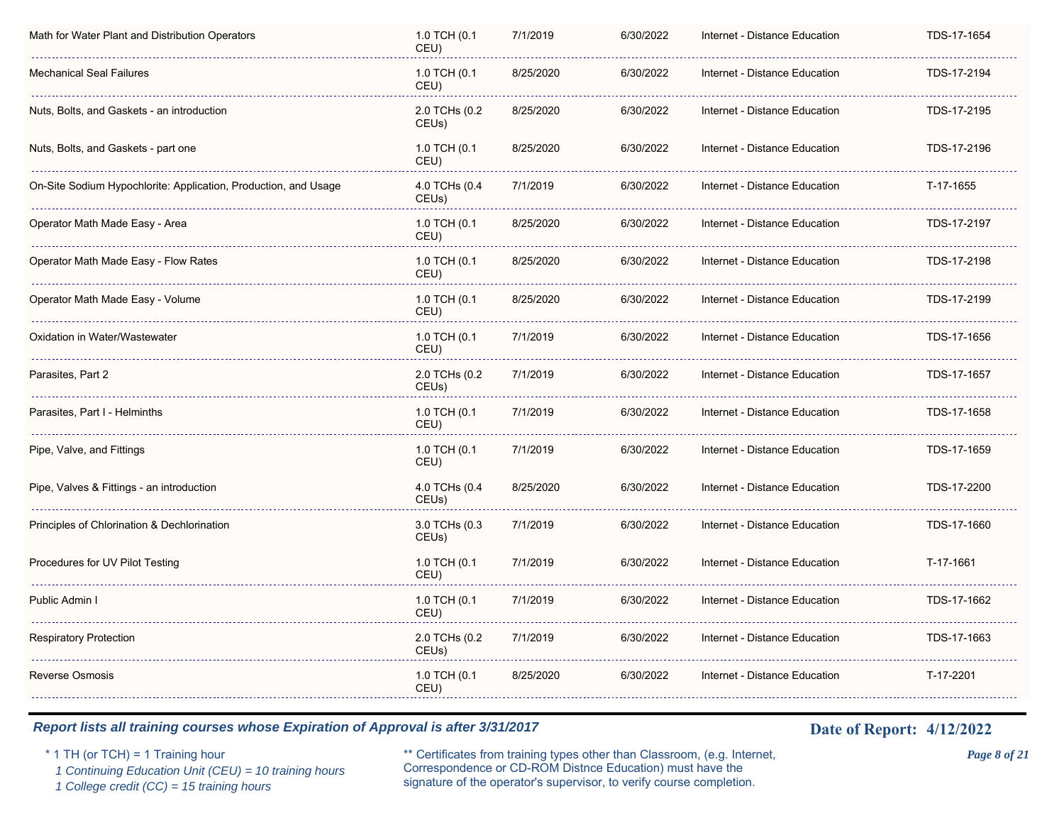| Math for Water Plant and Distribution Operators                 | 1.0 TCH (0.1<br>CEU)   | 7/1/2019  | 6/30/2022 | Internet - Distance Education | TDS-17-1654 |
|-----------------------------------------------------------------|------------------------|-----------|-----------|-------------------------------|-------------|
| Mechanical Seal Failures                                        | 1.0 TCH (0.1<br>CEU)   | 8/25/2020 | 6/30/2022 | Internet - Distance Education | TDS-17-2194 |
| Nuts, Bolts, and Gaskets - an introduction                      | 2.0 TCHs (0.2<br>CEUs) | 8/25/2020 | 6/30/2022 | Internet - Distance Education | TDS-17-2195 |
| Nuts, Bolts, and Gaskets - part one                             | 1.0 TCH (0.1<br>CEU)   | 8/25/2020 | 6/30/2022 | Internet - Distance Education | TDS-17-2196 |
| On-Site Sodium Hypochlorite: Application, Production, and Usage | 4.0 TCHs (0.4<br>CEUs) | 7/1/2019  | 6/30/2022 | Internet - Distance Education | T-17-1655   |
| Operator Math Made Easy - Area                                  | 1.0 TCH (0.1<br>CEU)   | 8/25/2020 | 6/30/2022 | Internet - Distance Education | TDS-17-2197 |
| Operator Math Made Easy - Flow Rates                            | 1.0 TCH (0.1<br>CEU)   | 8/25/2020 | 6/30/2022 | Internet - Distance Education | TDS-17-2198 |
| Operator Math Made Easy - Volume                                | 1.0 TCH (0.1<br>CEU)   | 8/25/2020 | 6/30/2022 | Internet - Distance Education | TDS-17-2199 |
| Oxidation in Water/Wastewater                                   | 1.0 TCH (0.1<br>CEU)   | 7/1/2019  | 6/30/2022 | Internet - Distance Education | TDS-17-1656 |
| Parasites, Part 2                                               | 2.0 TCHs (0.2<br>CEUs) | 7/1/2019  | 6/30/2022 | Internet - Distance Education | TDS-17-1657 |
| Parasites, Part I - Helminths                                   | 1.0 TCH (0.1<br>CEU)   | 7/1/2019  | 6/30/2022 | Internet - Distance Education | TDS-17-1658 |
| Pipe, Valve, and Fittings                                       | 1.0 TCH (0.1<br>CEU)   | 7/1/2019  | 6/30/2022 | Internet - Distance Education | TDS-17-1659 |
| Pipe, Valves & Fittings - an introduction                       | 4.0 TCHs (0.4<br>CEUs) | 8/25/2020 | 6/30/2022 | Internet - Distance Education | TDS-17-2200 |
| Principles of Chlorination & Dechlorination                     | 3.0 TCHs (0.3<br>CEUs) | 7/1/2019  | 6/30/2022 | Internet - Distance Education | TDS-17-1660 |
| Procedures for UV Pilot Testing                                 | 1.0 TCH (0.1<br>CEU)   | 7/1/2019  | 6/30/2022 | Internet - Distance Education | T-17-1661   |
| Public Admin I                                                  | 1.0 TCH (0.1<br>CEU)   | 7/1/2019  | 6/30/2022 | Internet - Distance Education | TDS-17-1662 |
| Respiratory Protection                                          | 2.0 TCHs (0.2<br>CEUs) | 7/1/2019  | 6/30/2022 | Internet - Distance Education | TDS-17-1663 |
| <b>Reverse Osmosis</b>                                          | 1.0 TCH (0.1<br>CEU)   | 8/25/2020 | 6/30/2022 | Internet - Distance Education | T-17-2201   |

 *1 Continuing Education Unit (CEU) = 10 training hours*

 *1 College credit (CC) = 15 training hours*

\* 1 TH (or TCH) = 1 Training hour \*\* Certificates from training types other than Classroom, (e.g. Internet, *Page 8 of 21* Correspondence or CD-ROM Distnce Education) must have the signature of the operator's supervisor, to verify course completion.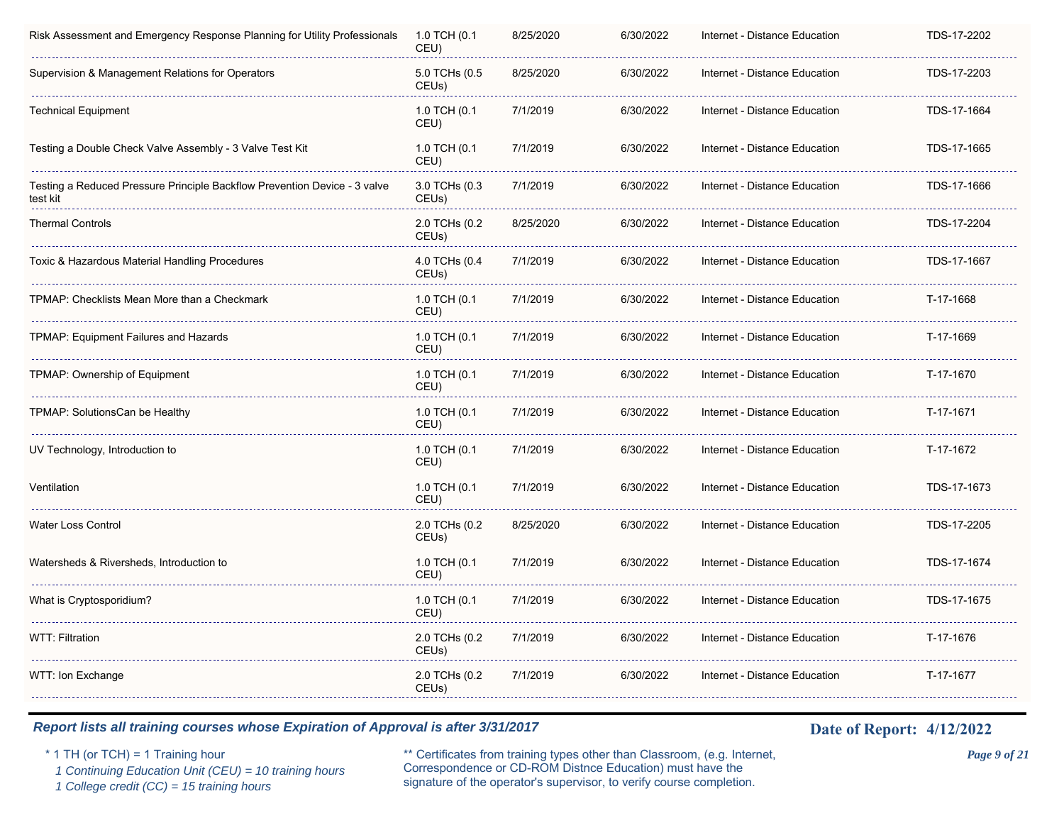| Risk Assessment and Emergency Response Planning for Utility Professionals             | 1.0 TCH (0.1<br>CEU)                | 8/25/2020 | 6/30/2022 | Internet - Distance Education | TDS-17-2202 |
|---------------------------------------------------------------------------------------|-------------------------------------|-----------|-----------|-------------------------------|-------------|
| Supervision & Management Relations for Operators                                      | 5.0 TCHs (0.5<br>CEUs)              | 8/25/2020 | 6/30/2022 | Internet - Distance Education | TDS-17-2203 |
| Technical Equipment                                                                   | 1.0 TCH (0.1<br>CEU)                | 7/1/2019  | 6/30/2022 | Internet - Distance Education | TDS-17-1664 |
| Testing a Double Check Valve Assembly - 3 Valve Test Kit                              | 1.0 TCH (0.1<br>CEU)                | 7/1/2019  | 6/30/2022 | Internet - Distance Education | TDS-17-1665 |
| Testing a Reduced Pressure Principle Backflow Prevention Device - 3 valve<br>test kit | 3.0 TCHs (0.3<br>CEUs)              | 7/1/2019  | 6/30/2022 | Internet - Distance Education | TDS-17-1666 |
| <b>Thermal Controls</b>                                                               | 2.0 TCHs (0.2<br>CEU <sub>s</sub> ) | 8/25/2020 | 6/30/2022 | Internet - Distance Education | TDS-17-2204 |
| Toxic & Hazardous Material Handling Procedures                                        | 4.0 TCHs (0.4<br>CEU <sub>s</sub> ) | 7/1/2019  | 6/30/2022 | Internet - Distance Education | TDS-17-1667 |
| TPMAP: Checklists Mean More than a Checkmark                                          | 1.0 TCH (0.1<br>CEU)                | 7/1/2019  | 6/30/2022 | Internet - Distance Education | T-17-1668   |
| TPMAP: Equipment Failures and Hazards                                                 | 1.0 TCH (0.1<br>CEU)                | 7/1/2019  | 6/30/2022 | Internet - Distance Education | T-17-1669   |
| TPMAP: Ownership of Equipment                                                         | 1.0 TCH (0.1<br>CEU)                | 7/1/2019  | 6/30/2022 | Internet - Distance Education | T-17-1670   |
| TPMAP: SolutionsCan be Healthy                                                        | 1.0 TCH (0.1<br>CEU)                | 7/1/2019  | 6/30/2022 | Internet - Distance Education | T-17-1671   |
| UV Technology, Introduction to                                                        | 1.0 TCH (0.1<br>CEU)                | 7/1/2019  | 6/30/2022 | Internet - Distance Education | T-17-1672   |
| Ventilation                                                                           | 1.0 TCH (0.1<br>CEU)                | 7/1/2019  | 6/30/2022 | Internet - Distance Education | TDS-17-1673 |
| Water Loss Control                                                                    | 2.0 TCHs (0.2<br>CEUs)              | 8/25/2020 | 6/30/2022 | Internet - Distance Education | TDS-17-2205 |
| Watersheds & Riversheds, Introduction to                                              | 1.0 TCH (0.1<br>CEU)                | 7/1/2019  | 6/30/2022 | Internet - Distance Education | TDS-17-1674 |
| What is Cryptosporidium?                                                              | 1.0 TCH (0.1<br>CEU)                | 7/1/2019  | 6/30/2022 | Internet - Distance Education | TDS-17-1675 |
| WTT: Filtration                                                                       | 2.0 TCHs (0.2<br>CEUs)              | 7/1/2019  | 6/30/2022 | Internet - Distance Education | T-17-1676   |
| WTT: Ion Exchange                                                                     | 2.0 TCHs (0.2<br>CEUs)              | 7/1/2019  | 6/30/2022 | Internet - Distance Education | T-17-1677   |

 *1 Continuing Education Unit (CEU) = 10 training hours*

 *1 College credit (CC) = 15 training hours*

\* 1 TH (or TCH) = 1 Training hour \*\* Certificates from training types other than Classroom, (e.g. Internet, *Page 9 of 21* Correspondence or CD-ROM Distnce Education) must have the signature of the operator's supervisor, to verify course completion.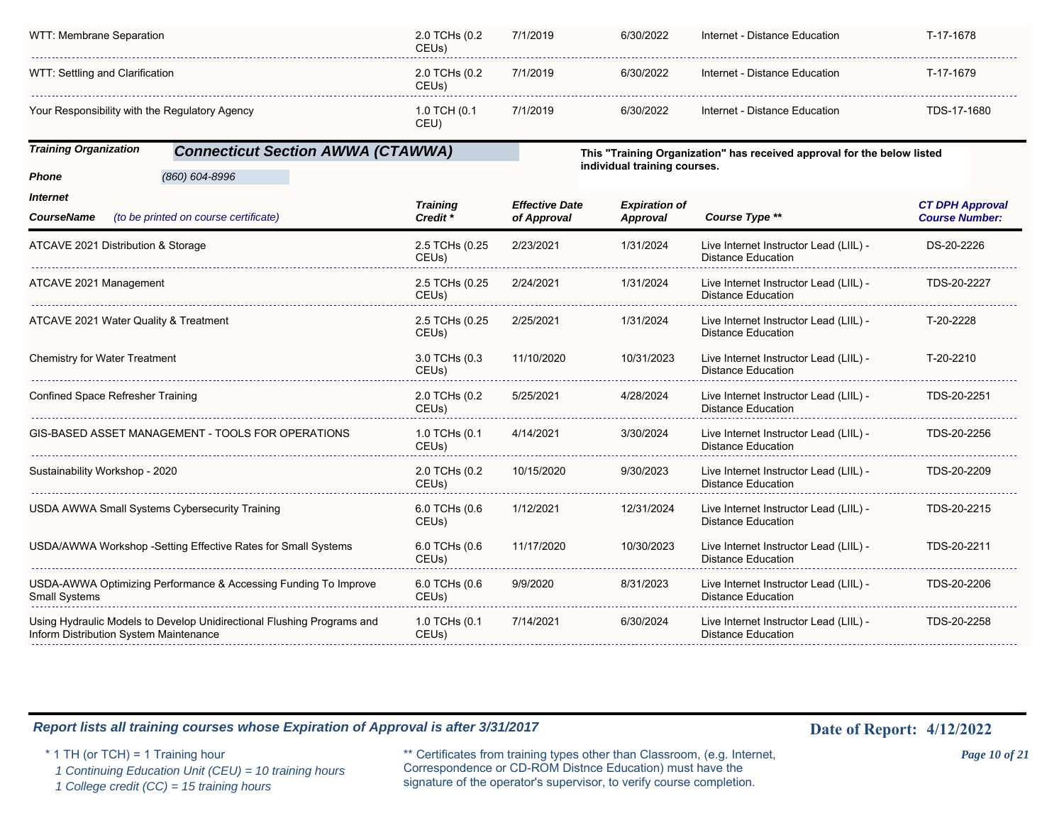| WTT: Membrane Separation                       | 2.0 TCHs (0.2<br>CEUs) | 7/1/2019 | 6/30/2022 | Internet - Distance Education | T-17-1678   |
|------------------------------------------------|------------------------|----------|-----------|-------------------------------|-------------|
| WTT: Settling and Clarification                | 2.0 TCHs (0.2<br>CEUs) | 7/1/2019 | 6/30/2022 | Internet - Distance Education | T-17-1679   |
| Your Responsibility with the Regulatory Agency | 1.0 TCH (0.1<br>CEU)   | 7/1/2019 | 6/30/2022 | Internet - Distance Education | TDS-17-1680 |

### *Training Organization Connecticut Section AWWA (CTAWWA)*

*(860) 604-8996*

*Phone*

**This "Training Organization" has received approval for the below listed individual training courses.**

| <i><b>Internet</b></i><br>(to be printed on course certificate)<br><b>CourseName</b>                             | <b>Training</b><br>Credit <sup>*</sup> | <b>Effective Date</b><br>of Approval | <b>Expiration of</b><br>Approval | Course Type **                                                      | <b>CT DPH Approval</b><br><b>Course Number:</b> |
|------------------------------------------------------------------------------------------------------------------|----------------------------------------|--------------------------------------|----------------------------------|---------------------------------------------------------------------|-------------------------------------------------|
| ATCAVE 2021 Distribution & Storage                                                                               | 2.5 TCHs (0.25<br>CEUs)                | 2/23/2021                            | 1/31/2024                        | Live Internet Instructor Lead (LIIL) -<br><b>Distance Education</b> | DS-20-2226                                      |
| ATCAVE 2021 Management                                                                                           | 2.5 TCHs (0.25<br>CEUs)                | 2/24/2021                            | 1/31/2024                        | Live Internet Instructor Lead (LIIL) -<br><b>Distance Education</b> | TDS-20-2227                                     |
| ATCAVE 2021 Water Quality & Treatment                                                                            | 2.5 TCHs (0.25<br>CEU <sub>s</sub> )   | 2/25/2021                            | 1/31/2024                        | Live Internet Instructor Lead (LIIL) -<br><b>Distance Education</b> | T-20-2228                                       |
| <b>Chemistry for Water Treatment</b>                                                                             | 3.0 TCHs (0.3<br>CEUs)                 | 11/10/2020                           | 10/31/2023                       | Live Internet Instructor Lead (LIIL) -<br><b>Distance Education</b> | T-20-2210                                       |
| <b>Confined Space Refresher Training</b>                                                                         | 2.0 TCHs (0.2<br>CEU <sub>s</sub> )    | 5/25/2021                            | 4/28/2024                        | Live Internet Instructor Lead (LIIL) -<br><b>Distance Education</b> | TDS-20-2251                                     |
| GIS-BASED ASSET MANAGEMENT - TOOLS FOR OPERATIONS                                                                | 1.0 TCHs (0.1<br>CEU <sub>s</sub>      | 4/14/2021                            | 3/30/2024                        | Live Internet Instructor Lead (LIIL) -<br>Distance Education        | TDS-20-2256                                     |
| Sustainability Workshop - 2020                                                                                   | 2.0 TCHs (0.2<br>CEUs)                 | 10/15/2020                           | 9/30/2023                        | Live Internet Instructor Lead (LIIL) -<br><b>Distance Education</b> | TDS-20-2209                                     |
| USDA AWWA Small Systems Cybersecurity Training                                                                   | 6.0 TCHs (0.6<br>CEUs)                 | 1/12/2021                            | 12/31/2024                       | Live Internet Instructor Lead (LIIL) -<br><b>Distance Education</b> | TDS-20-2215                                     |
| USDA/AWWA Workshop -Setting Effective Rates for Small Systems                                                    | 6.0 TCHs (0.6<br>CEUs)                 | 11/17/2020                           | 10/30/2023                       | Live Internet Instructor Lead (LIIL) -<br><b>Distance Education</b> | TDS-20-2211                                     |
| USDA-AWWA Optimizing Performance & Accessing Funding To Improve<br>Small Systems                                 | 6.0 TCHs (0.6<br>CEUs)                 | 9/9/2020                             | 8/31/2023                        | Live Internet Instructor Lead (LIIL) -<br><b>Distance Education</b> | TDS-20-2206                                     |
| Using Hydraulic Models to Develop Unidirectional Flushing Programs and<br>Inform Distribution System Maintenance | 1.0 TCHs (0.1<br>CEUs)                 | 7/14/2021                            | 6/30/2024                        | Live Internet Instructor Lead (LIIL) -<br><b>Distance Education</b> | TDS-20-2258                                     |

### *Report lists all training courses whose Expiration of Approval is after 3/31/2017* **Date of Report:** 4/12/2022

 *1 Continuing Education Unit (CEU) = 10 training hours*

 *1 College credit (CC) = 15 training hours*

\* 1 TH (or TCH) = 1 Training hour \*\* Certificates from training types other than Classroom, (e.g. Internet, *Page 10 of 21* Correspondence or CD-ROM Distnce Education) must have the signature of the operator's supervisor, to verify course completion.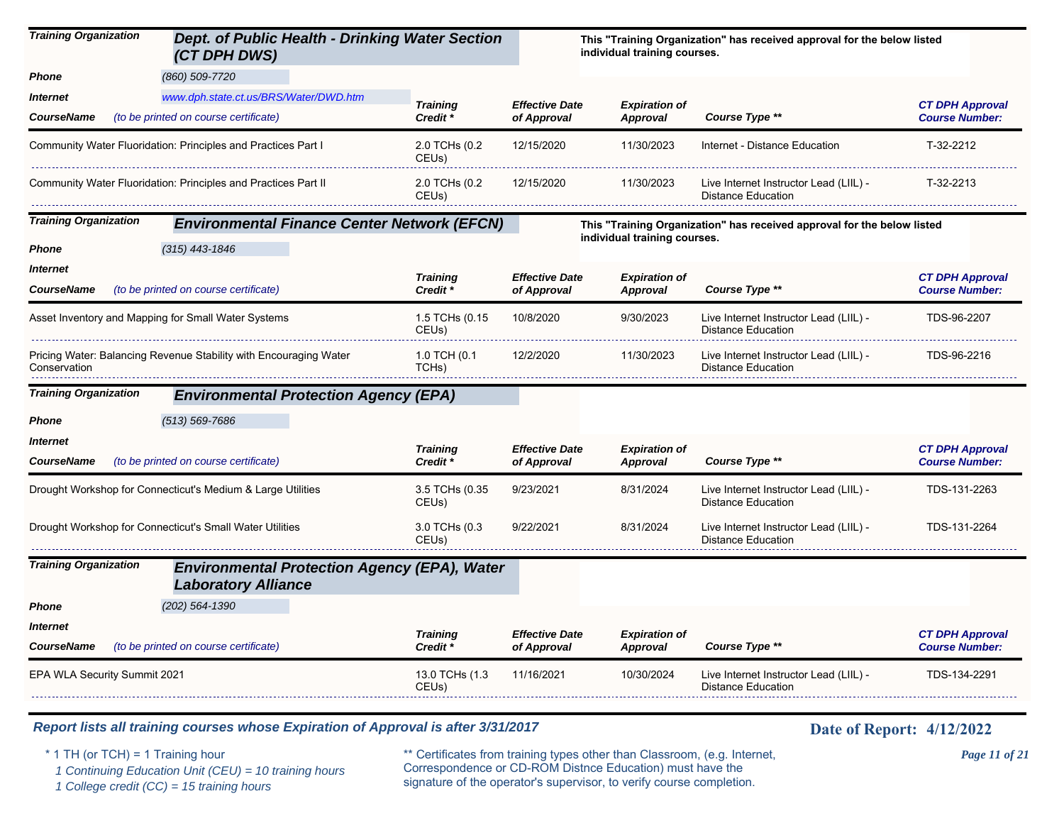| <b>Training Organization</b>  | Dept. of Public Health - Drinking Water Section<br>(CT DPH DWS)                   |                                      |                                      | individual training courses.            | This "Training Organization" has received approval for the below listed |                                                 |
|-------------------------------|-----------------------------------------------------------------------------------|--------------------------------------|--------------------------------------|-----------------------------------------|-------------------------------------------------------------------------|-------------------------------------------------|
| Phone                         | (860) 509-7720                                                                    |                                      |                                      |                                         |                                                                         |                                                 |
| Internet                      | www.dph.state.ct.us/BRS/Water/DWD.htm                                             | <b>Training</b>                      | <b>Effective Date</b>                | <b>Expiration of</b>                    |                                                                         | <b>CT DPH Approval</b>                          |
| <b>CourseName</b>             | (to be printed on course certificate)                                             | Credit <sup>*</sup>                  | of Approval                          | <b>Approval</b>                         | Course Type **                                                          | <b>Course Number:</b>                           |
|                               | Community Water Fluoridation: Principles and Practices Part I                     | 2.0 TCHs (0.2<br>CEU <sub>s</sub> )  | 12/15/2020                           | 11/30/2023                              | Internet - Distance Education                                           | T-32-2212                                       |
|                               | Community Water Fluoridation: Principles and Practices Part                       | 2.0 TCHs (0.2<br>CEUs)               | 12/15/2020                           | 11/30/2023                              | Live Internet Instructor Lead (LIIL) -<br><b>Distance Education</b>     | T-32-2213                                       |
| <b>Training Organization</b>  | <b>Environmental Finance Center Network (EFCN)</b>                                |                                      |                                      |                                         | This "Training Organization" has received approval for the below listed |                                                 |
| Phone                         | $(315)$ 443-1846                                                                  |                                      |                                      | individual training courses.            |                                                                         |                                                 |
| Internet<br><b>CourseName</b> | (to be printed on course certificate)                                             | <b>Training</b><br>Credit *          | <b>Effective Date</b><br>of Approval | <b>Expiration of</b><br><b>Approval</b> | Course Type **                                                          | <b>CT DPH Approval</b><br><b>Course Number:</b> |
|                               | Asset Inventory and Mapping for Small Water Systems                               | 1.5 TCHs (0.15<br>CEUs)              | 10/8/2020                            | 9/30/2023                               | Live Internet Instructor Lead (LIIL) -<br><b>Distance Education</b>     | TDS-96-2207                                     |
| Conservation                  | Pricing Water: Balancing Revenue Stability with Encouraging Water                 | 1.0 TCH (0.1<br>TCHs)                | 12/2/2020                            | 11/30/2023                              | Live Internet Instructor Lead (LIIL) -<br><b>Distance Education</b>     | TDS-96-2216                                     |
| <b>Training Organization</b>  | <b>Environmental Protection Agency (EPA)</b>                                      |                                      |                                      |                                         |                                                                         |                                                 |
| Phone                         | $(513) 569 - 7686$                                                                |                                      |                                      |                                         |                                                                         |                                                 |
| Internet                      |                                                                                   | <b>Training</b>                      | <b>Effective Date</b>                | <b>Expiration of</b>                    |                                                                         | <b>CT DPH Approval</b>                          |
| <b>CourseName</b>             | (to be printed on course certificate)                                             | Credit *                             | of Approval                          | <b>Approval</b>                         | Course Type **                                                          | <b>Course Number:</b>                           |
|                               | Drought Workshop for Connecticut's Medium & Large Utilities                       | 3.5 TCHs (0.35<br>CEU <sub>s</sub> ) | 9/23/2021                            | 8/31/2024                               | Live Internet Instructor Lead (LIIL) -<br><b>Distance Education</b>     | TDS-131-2263                                    |
|                               | Drought Workshop for Connecticut's Small Water Utilities                          | 3.0 TCHs (0.3<br>CEU <sub>s</sub> )  | 9/22/2021                            | 8/31/2024                               | Live Internet Instructor Lead (LIIL) -<br><b>Distance Education</b>     | TDS-131-2264                                    |
| <b>Training Organization</b>  | <b>Environmental Protection Agency (EPA), Water</b><br><b>Laboratory Alliance</b> |                                      |                                      |                                         |                                                                         |                                                 |
| Phone                         | $(202)$ 564-1390                                                                  |                                      |                                      |                                         |                                                                         |                                                 |
| Internet                      |                                                                                   | <b>Training</b>                      | <b>Effective Date</b>                | <b>Expiration of</b>                    |                                                                         | <b>CT DPH Approval</b>                          |
| <b>CourseName</b>             | (to be printed on course certificate)                                             | Credit *                             | of Approval                          | <b>Approval</b>                         | Course Type **                                                          | <b>Course Number:</b>                           |
| EPA WLA Security Summit 2021  |                                                                                   | 13.0 TCHs (1.3<br>CEU <sub>s</sub> ) | 11/16/2021                           | 10/30/2024                              | Live Internet Instructor Lead (LIIL) -<br><b>Distance Education</b>     | TDS-134-2291                                    |

 *1 Continuing Education Unit (CEU) = 10 training hours*

 *1 College credit (CC) = 15 training hours*

\* 1 TH (or TCH) = 1 Training hour \*\* Certificates from training types other than Classroom, (e.g. Internet, *Page 11 of 21* Correspondence or CD-ROM Distnce Education) must have the signature of the operator's supervisor, to verify course completion.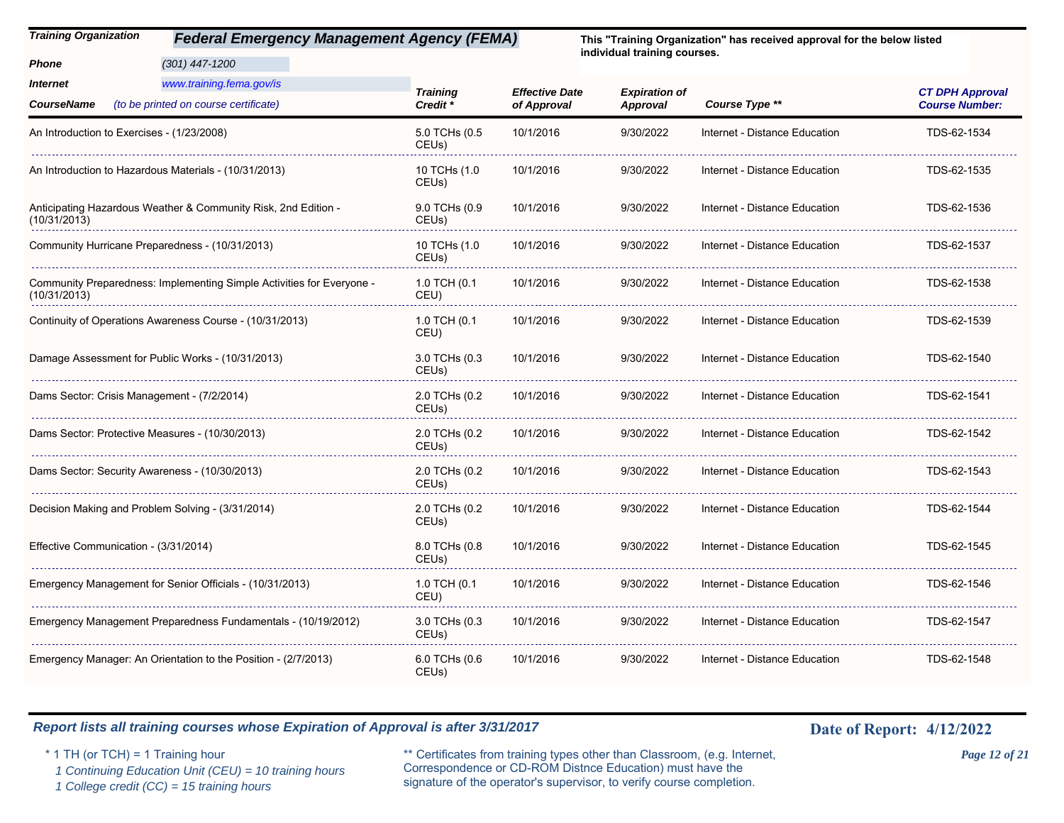*(301) 447-1200*

*Phone*

*Training Organization Federal Emergency Management Agency (FEMA)*

**This "Training Organization" has received approval for the below listed individual training courses.**

| www.training.fema.gov/is<br><i><b>Internet</b></i><br>(to be printed on course certificate)<br><b>CourseName</b> | <b>Training</b><br>Credit <sup>*</sup> | <b>Effective Date</b><br>of Approval | <b>Expiration of</b><br><b>Approval</b> | Course Type **                | <b>CT DPH Approval</b><br><b>Course Number:</b> |
|------------------------------------------------------------------------------------------------------------------|----------------------------------------|--------------------------------------|-----------------------------------------|-------------------------------|-------------------------------------------------|
| An Introduction to Exercises - (1/23/2008)                                                                       | 5.0 TCHs (0.5<br>CEUs)                 | 10/1/2016                            | 9/30/2022                               | Internet - Distance Education | TDS-62-1534                                     |
| An Introduction to Hazardous Materials - (10/31/2013)                                                            | 10 TCHs (1.0<br>CEUs)                  | 10/1/2016                            | 9/30/2022                               | Internet - Distance Education | TDS-62-1535                                     |
| Anticipating Hazardous Weather & Community Risk, 2nd Edition -<br>(10/31/2013)                                   | 9.0 TCHs (0.9<br>CEUs)                 | 10/1/2016                            | 9/30/2022                               | Internet - Distance Education | TDS-62-1536                                     |
| Community Hurricane Preparedness - (10/31/2013)                                                                  | 10 TCHs (1.0<br>CEU <sub>s</sub> )     | 10/1/2016                            | 9/30/2022                               | Internet - Distance Education | TDS-62-1537                                     |
| Community Preparedness: Implementing Simple Activities for Everyone -<br>(10/31/2013)                            | 1.0 TCH (0.1<br>CEU)                   | 10/1/2016                            | 9/30/2022                               | Internet - Distance Education | TDS-62-1538                                     |
| Continuity of Operations Awareness Course - (10/31/2013)                                                         | 1.0 TCH (0.1<br>CEU)                   | 10/1/2016                            | 9/30/2022                               | Internet - Distance Education | TDS-62-1539                                     |
| Damage Assessment for Public Works - (10/31/2013)                                                                | 3.0 TCHs (0.3<br>CEUs)                 | 10/1/2016                            | 9/30/2022                               | Internet - Distance Education | TDS-62-1540                                     |
| Dams Sector: Crisis Management - (7/2/2014)                                                                      | 2.0 TCHs (0.2<br>CEUs)                 | 10/1/2016                            | 9/30/2022                               | Internet - Distance Education | TDS-62-1541                                     |
| Dams Sector: Protective Measures - (10/30/2013)                                                                  | 2.0 TCHs (0.2<br>CEU <sub>s</sub> )    | 10/1/2016                            | 9/30/2022                               | Internet - Distance Education | TDS-62-1542                                     |
| Dams Sector: Security Awareness - (10/30/2013)                                                                   | 2.0 TCHs (0.2<br>CEUs)                 | 10/1/2016                            | 9/30/2022                               | Internet - Distance Education | TDS-62-1543                                     |
| Decision Making and Problem Solving - (3/31/2014)                                                                | 2.0 TCHs (0.2<br>CEUs)                 | 10/1/2016                            | 9/30/2022                               | Internet - Distance Education | TDS-62-1544                                     |
| Effective Communication - (3/31/2014)                                                                            | 8.0 TCHs (0.8<br>CEUs)                 | 10/1/2016                            | 9/30/2022                               | Internet - Distance Education | TDS-62-1545                                     |
| Emergency Management for Senior Officials - (10/31/2013)                                                         | 1.0 TCH (0.1<br>CEU)                   | 10/1/2016                            | 9/30/2022                               | Internet - Distance Education | TDS-62-1546                                     |
| Emergency Management Preparedness Fundamentals - (10/19/2012)                                                    | 3.0 TCHs (0.3<br>CEUs)                 | 10/1/2016                            | 9/30/2022                               | Internet - Distance Education | TDS-62-1547                                     |
| Emergency Manager: An Orientation to the Position - (2/7/2013)                                                   | 6.0 TCHs (0.6<br>CEUs)                 | 10/1/2016                            | 9/30/2022                               | Internet - Distance Education | TDS-62-1548                                     |

### *Report lists all training courses whose Expiration of Approval is after 3/31/2017* **Date of Report:** 4/12/2022

 *1 Continuing Education Unit (CEU) = 10 training hours*

 *1 College credit (CC) = 15 training hours*

\* 1 TH (or TCH) = 1 Training hour \*\* Certificates from training types other than Classroom, (e.g. Internet, *Page 12 of 21* Correspondence or CD-ROM Distnce Education) must have the signature of the operator's supervisor, to verify course completion.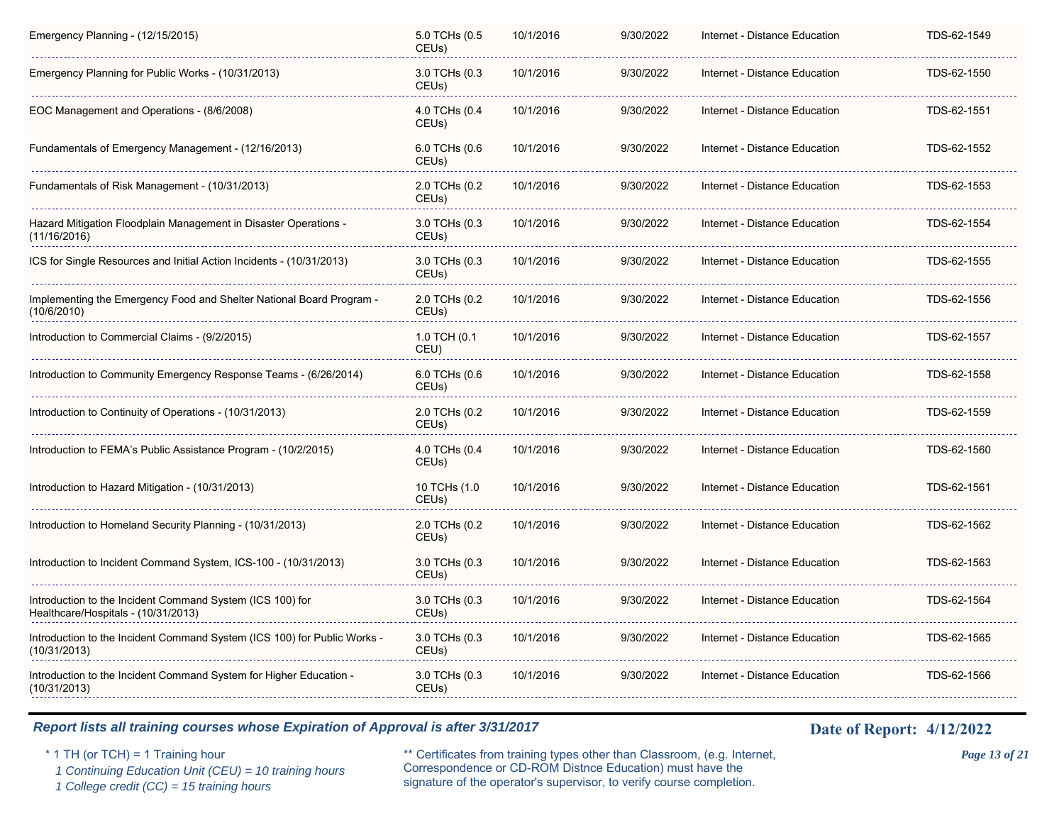| Emergency Planning - (12/15/2015)                                                                | 5.0 TCHs (0.5<br>CEUs)              | 10/1/2016 | 9/30/2022 | Internet - Distance Education | TDS-62-1549 |
|--------------------------------------------------------------------------------------------------|-------------------------------------|-----------|-----------|-------------------------------|-------------|
| Emergency Planning for Public Works - (10/31/2013)                                               | 3.0 TCHs (0.3<br>CEU <sub>s</sub> ) | 10/1/2016 | 9/30/2022 | Internet - Distance Education | TDS-62-1550 |
| EOC Management and Operations - (8/6/2008)                                                       | 4.0 TCHs (0.4<br>CEUs)              | 10/1/2016 | 9/30/2022 | Internet - Distance Education | TDS-62-1551 |
| Fundamentals of Emergency Management - (12/16/2013)                                              | 6.0 TCHs (0.6<br>CEUs)              | 10/1/2016 | 9/30/2022 | Internet - Distance Education | TDS-62-1552 |
| Fundamentals of Risk Management - (10/31/2013)                                                   | 2.0 TCHs (0.2<br>CEUs)              | 10/1/2016 | 9/30/2022 | Internet - Distance Education | TDS-62-1553 |
| Hazard Mitigation Floodplain Management in Disaster Operations -<br>(11/16/2016)                 | 3.0 TCHs (0.3<br>CEUs)              | 10/1/2016 | 9/30/2022 | Internet - Distance Education | TDS-62-1554 |
| ICS for Single Resources and Initial Action Incidents - (10/31/2013)                             | 3.0 TCHs (0.3<br>CEUs)              | 10/1/2016 | 9/30/2022 | Internet - Distance Education | TDS-62-1555 |
| Implementing the Emergency Food and Shelter National Board Program -<br>(10/6/2010)              | 2.0 TCHs (0.2<br>CEUs)              | 10/1/2016 | 9/30/2022 | Internet - Distance Education | TDS-62-1556 |
| Introduction to Commercial Claims - (9/2/2015)                                                   | 1.0 TCH (0.1<br>CEU)                | 10/1/2016 | 9/30/2022 | Internet - Distance Education | TDS-62-1557 |
| Introduction to Community Emergency Response Teams - (6/26/2014)                                 | 6.0 TCHs (0.6<br>CEUs)              | 10/1/2016 | 9/30/2022 | Internet - Distance Education | TDS-62-1558 |
| Introduction to Continuity of Operations - (10/31/2013)                                          | 2.0 TCHs (0.2<br>CEUs)              | 10/1/2016 | 9/30/2022 | Internet - Distance Education | TDS-62-1559 |
| Introduction to FEMA's Public Assistance Program - (10/2/2015)                                   | 4.0 TCHs (0.4<br>CEUs)              | 10/1/2016 | 9/30/2022 | Internet - Distance Education | TDS-62-1560 |
| Introduction to Hazard Mitigation - (10/31/2013)                                                 | 10 TCHs (1.0<br>CEUs)               | 10/1/2016 | 9/30/2022 | Internet - Distance Education | TDS-62-1561 |
| Introduction to Homeland Security Planning - (10/31/2013)                                        | 2.0 TCHs (0.2<br>CEUs)              | 10/1/2016 | 9/30/2022 | Internet - Distance Education | TDS-62-1562 |
| Introduction to Incident Command System, ICS-100 - (10/31/2013)                                  | 3.0 TCHs (0.3<br>CEUs)              | 10/1/2016 | 9/30/2022 | Internet - Distance Education | TDS-62-1563 |
| Introduction to the Incident Command System (ICS 100) for<br>Healthcare/Hospitals - (10/31/2013) | 3.0 TCHs (0.3<br>CEUs)              | 10/1/2016 | 9/30/2022 | Internet - Distance Education | TDS-62-1564 |
| Introduction to the Incident Command System (ICS 100) for Public Works -<br>(10/31/2013)         | 3.0 TCHs (0.3<br>CEUs)              | 10/1/2016 | 9/30/2022 | Internet - Distance Education | TDS-62-1565 |
| Introduction to the Incident Command System for Higher Education -<br>(10/31/2013)               | 3.0 TCHs (0.3<br>CEU <sub>s</sub> ) | 10/1/2016 | 9/30/2022 | Internet - Distance Education | TDS-62-1566 |

 *1 Continuing Education Unit (CEU) = 10 training hours*

 *1 College credit (CC) = 15 training hours*

\* 1 TH (or TCH) = 1 Training hour \*\* Certificates from training types other than Classroom, (e.g. Internet, *Page 13 of 21* Correspondence or CD-ROM Distnce Education) must have the signature of the operator's supervisor, to verify course completion.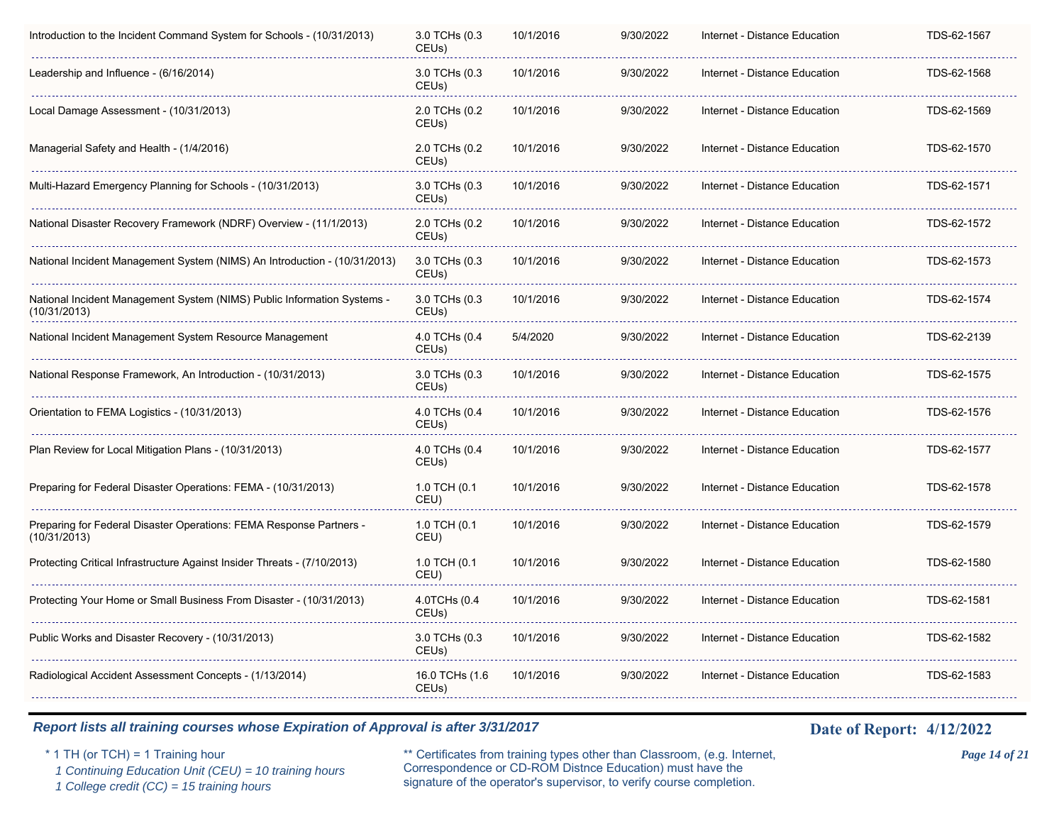| Introduction to the Incident Command System for Schools - (10/31/2013)                  | 3.0 TCHs (0.3<br>CEUs)               | 10/1/2016 | 9/30/2022 | Internet - Distance Education | TDS-62-1567 |
|-----------------------------------------------------------------------------------------|--------------------------------------|-----------|-----------|-------------------------------|-------------|
| Leadership and Influence - (6/16/2014)                                                  | 3.0 TCHs (0.3<br>CEUs)               | 10/1/2016 | 9/30/2022 | Internet - Distance Education | TDS-62-1568 |
| Local Damage Assessment - (10/31/2013)                                                  | 2.0 TCHs (0.2<br>CEUs)               | 10/1/2016 | 9/30/2022 | Internet - Distance Education | TDS-62-1569 |
| Managerial Safety and Health - (1/4/2016)                                               | 2.0 TCHs (0.2<br>CEUs)               | 10/1/2016 | 9/30/2022 | Internet - Distance Education | TDS-62-1570 |
| Multi-Hazard Emergency Planning for Schools - (10/31/2013)                              | 3.0 TCHs (0.3<br>CEUs)               | 10/1/2016 | 9/30/2022 | Internet - Distance Education | TDS-62-1571 |
| National Disaster Recovery Framework (NDRF) Overview - (11/1/2013)                      | 2.0 TCHs (0.2<br>CEUs)               | 10/1/2016 | 9/30/2022 | Internet - Distance Education | TDS-62-1572 |
| National Incident Management System (NIMS) An Introduction - (10/31/2013)               | 3.0 TCHs (0.3<br>CEUs)               | 10/1/2016 | 9/30/2022 | Internet - Distance Education | TDS-62-1573 |
| National Incident Management System (NIMS) Public Information Systems -<br>(10/31/2013) | 3.0 TCHs (0.3<br>CEU <sub>s</sub> )  | 10/1/2016 | 9/30/2022 | Internet - Distance Education | TDS-62-1574 |
| National Incident Management System Resource Management                                 | 4.0 TCHs (0.4<br>CEU <sub>s</sub> )  | 5/4/2020  | 9/30/2022 | Internet - Distance Education | TDS-62-2139 |
| National Response Framework, An Introduction - (10/31/2013)                             | 3.0 TCHs (0.3<br>CEUs)               | 10/1/2016 | 9/30/2022 | Internet - Distance Education | TDS-62-1575 |
| Orientation to FEMA Logistics - (10/31/2013)                                            | 4.0 TCHs (0.4<br>CEUs)               | 10/1/2016 | 9/30/2022 | Internet - Distance Education | TDS-62-1576 |
| Plan Review for Local Mitigation Plans - (10/31/2013)                                   | 4.0 TCHs (0.4<br>CEUs)               | 10/1/2016 | 9/30/2022 | Internet - Distance Education | TDS-62-1577 |
| Preparing for Federal Disaster Operations: FEMA - (10/31/2013)                          | 1.0 TCH (0.1<br>CEU)                 | 10/1/2016 | 9/30/2022 | Internet - Distance Education | TDS-62-1578 |
| Preparing for Federal Disaster Operations: FEMA Response Partners -<br>(10/31/2013)     | 1.0 TCH (0.1<br>CEU)                 | 10/1/2016 | 9/30/2022 | Internet - Distance Education | TDS-62-1579 |
| Protecting Critical Infrastructure Against Insider Threats - (7/10/2013)                | 1.0 TCH (0.1<br>CEU)                 | 10/1/2016 | 9/30/2022 | Internet - Distance Education | TDS-62-1580 |
| Protecting Your Home or Small Business From Disaster - (10/31/2013)                     | 4.0TCHs (0.4<br>CEUs)                | 10/1/2016 | 9/30/2022 | Internet - Distance Education | TDS-62-1581 |
| Public Works and Disaster Recovery - (10/31/2013)                                       | 3.0 TCHs (0.3<br>CEU <sub>s</sub> )  | 10/1/2016 | 9/30/2022 | Internet - Distance Education | TDS-62-1582 |
| Radiological Accident Assessment Concepts - (1/13/2014)                                 | 16.0 TCHs (1.6<br>CEU <sub>s</sub> ) | 10/1/2016 | 9/30/2022 | Internet - Distance Education | TDS-62-1583 |
|                                                                                         |                                      |           |           |                               |             |

 *1 Continuing Education Unit (CEU) = 10 training hours*

 *1 College credit (CC) = 15 training hours*

\* 1 TH (or TCH) = 1 Training hour \*\* Certificates from training types other than Classroom, (e.g. Internet, *Page 14 of 21* Correspondence or CD-ROM Distnce Education) must have the signature of the operator's supervisor, to verify course completion.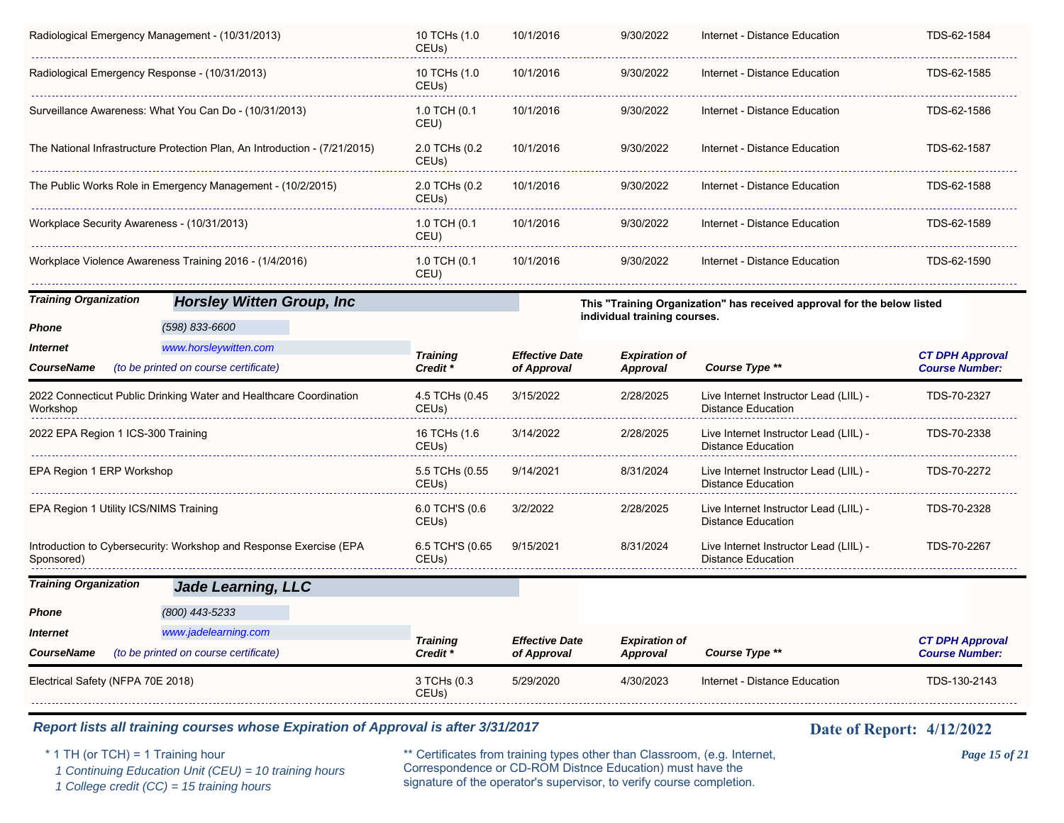|                                                | Radiological Emergency Management - (10/31/2013)                           | 10 TCHs (1.0<br>CEUs)       | 10/1/2016                            | 9/30/2022                        | Internet - Distance Education                                           | TDS-62-1584                                     |
|------------------------------------------------|----------------------------------------------------------------------------|-----------------------------|--------------------------------------|----------------------------------|-------------------------------------------------------------------------|-------------------------------------------------|
| Radiological Emergency Response - (10/31/2013) |                                                                            | 10 TCHs (1.0<br>CEUs)       | 10/1/2016                            | 9/30/2022                        | Internet - Distance Education                                           | TDS-62-1585                                     |
|                                                | Surveillance Awareness: What You Can Do - (10/31/2013)                     | 1.0 TCH (0.1<br>CEU)        | 10/1/2016                            | 9/30/2022                        | Internet - Distance Education                                           | TDS-62-1586                                     |
|                                                | The National Infrastructure Protection Plan, An Introduction - (7/21/2015) | 2.0 TCHs (0.2<br>CEUs)      | 10/1/2016                            | 9/30/2022                        | Internet - Distance Education                                           | TDS-62-1587                                     |
|                                                | The Public Works Role in Emergency Management - (10/2/2015)                | 2.0 TCHs (0.2<br>CEUs)      | 10/1/2016                            | 9/30/2022                        | Internet - Distance Education                                           | TDS-62-1588                                     |
| Workplace Security Awareness - (10/31/2013)    |                                                                            | 1.0 TCH (0.1<br>CEU)        | 10/1/2016                            | 9/30/2022                        | Internet - Distance Education                                           | TDS-62-1589                                     |
|                                                | Workplace Violence Awareness Training 2016 - (1/4/2016)                    | 1.0 TCH (0.1<br>CEU)        | 10/1/2016                            | 9/30/2022                        | Internet - Distance Education                                           | TDS-62-1590                                     |
| <b>Training Organization</b>                   | <b>Horsley Witten Group, Inc.</b>                                          |                             |                                      |                                  | This "Training Organization" has received approval for the below listed |                                                 |
| Phone                                          | (598) 833-6600                                                             |                             |                                      | individual training courses.     |                                                                         |                                                 |
| Internet                                       | www.horsleywitten.com                                                      | <b>Training</b>             | <b>Effective Date</b>                | <b>Expiration of</b>             |                                                                         | <b>CT DPH Approval</b>                          |
| CourseName                                     | (to be printed on course certificate)                                      | Credit *                    | of Approval                          | <b>Approval</b>                  | Course Type **                                                          | <b>Course Number:</b>                           |
| Workshop                                       | 2022 Connecticut Public Drinking Water and Healthcare Coordination         | 4.5 TCHs (0.45              | 3/15/2022                            | 2/28/2025                        | Live Internet Instructor Lead (LIIL) -<br><b>Distance Education</b>     | TDS-70-2327                                     |
|                                                |                                                                            | CEUs)                       |                                      |                                  |                                                                         |                                                 |
| 2022 EPA Region 1 ICS-300 Training             |                                                                            | 16 TCHs (1.6<br>CEUs)       | 3/14/2022                            | 2/28/2025                        | Live Internet Instructor Lead (LIIL) -<br><b>Distance Education</b>     | TDS-70-2338                                     |
| EPA Region 1 ERP Workshop                      |                                                                            | 5.5 TCHs (0.55<br>CEUs)     | 9/14/2021                            | 8/31/2024                        | Live Internet Instructor Lead (LIIL) -<br><b>Distance Education</b>     | TDS-70-2272                                     |
| EPA Region 1 Utility ICS/NIMS Training         |                                                                            | 6.0 TCH'S (0.6<br>CEUs)     | 3/2/2022                             | 2/28/2025                        | Live Internet Instructor Lead (LIIL) -<br><b>Distance Education</b>     | TDS-70-2328                                     |
| Sponsored)                                     | Introduction to Cybersecurity: Workshop and Response Exercise (EPA         | 6.5 TCH'S (0.65<br>CEUs)    | 9/15/2021                            | 8/31/2024                        | Live Internet Instructor Lead (LIIL) -<br><b>Distance Education</b>     | TDS-70-2267                                     |
| <b>Training Organization</b>                   | <b>Jade Learning, LLC</b>                                                  |                             |                                      |                                  |                                                                         |                                                 |
| Phone                                          | (800) 443-5233                                                             |                             |                                      |                                  |                                                                         |                                                 |
| Internet                                       | www.jadelearning.com                                                       |                             |                                      |                                  |                                                                         |                                                 |
| CourseName                                     | (to be printed on course certificate)                                      | <b>Training</b><br>Credit * | <b>Effective Date</b><br>of Approval | <b>Expiration of</b><br>Approval | Course Type **                                                          | <b>CT DPH Approval</b><br><b>Course Number:</b> |

 *1 Continuing Education Unit (CEU) = 10 training hours*

 *1 College credit (CC) = 15 training hours*

\* 1 TH (or TCH) = 1 Training hour \*\* Certificates from training types other than Classroom, (e.g. Internet, *Page 15 of 21* Correspondence or CD-ROM Distnce Education) must have the signature of the operator's supervisor, to verify course completion.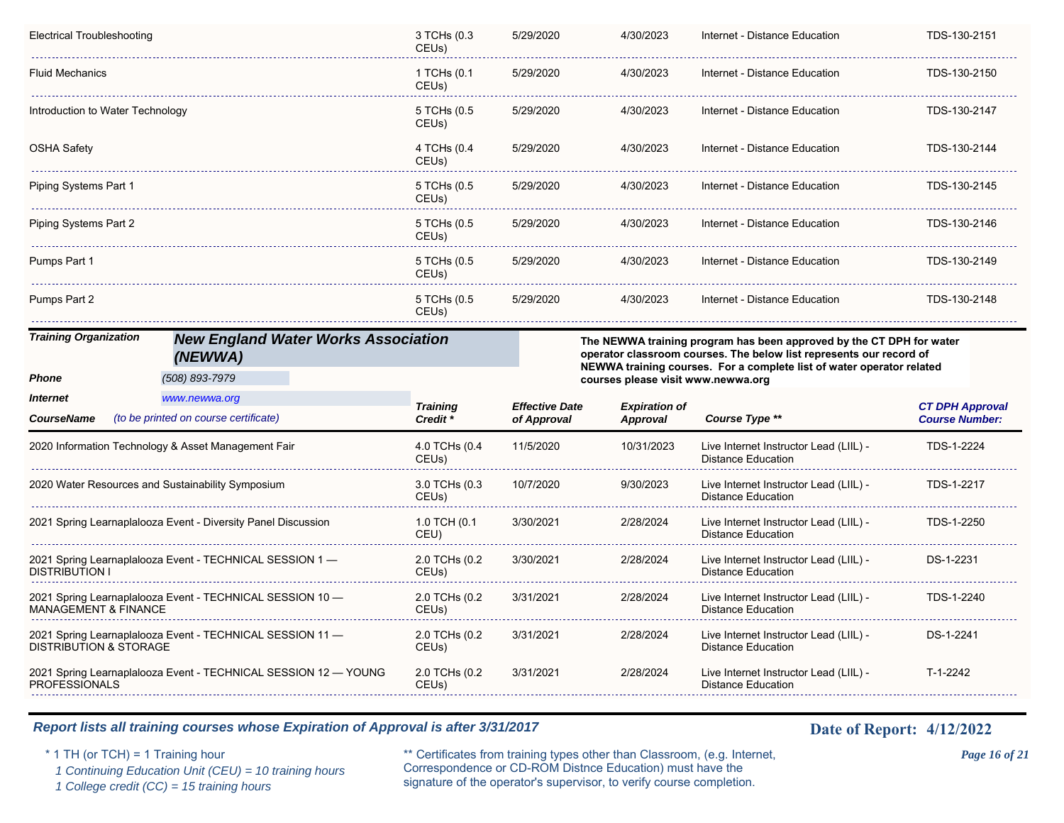| Electrical Troubleshooting        |                                                               | 3 TCHs (0.3<br>CEUs)                | 5/29/2020                            | 4/30/2023                               | Internet - Distance Education                                                                                                               | TDS-130-2151                                    |
|-----------------------------------|---------------------------------------------------------------|-------------------------------------|--------------------------------------|-----------------------------------------|---------------------------------------------------------------------------------------------------------------------------------------------|-------------------------------------------------|
| <b>Fluid Mechanics</b>            |                                                               | 1 TCHs (0.1<br>CEUs)                | 5/29/2020                            | 4/30/2023                               | Internet - Distance Education                                                                                                               | TDS-130-2150                                    |
| Introduction to Water Technology  |                                                               | 5 TCHs (0.5<br>CEUs)                | 5/29/2020                            | 4/30/2023                               | Internet - Distance Education                                                                                                               | TDS-130-2147                                    |
| <b>OSHA Safety</b>                |                                                               | 4 TCHs (0.4<br>CEUs)                | 5/29/2020                            | 4/30/2023                               | Internet - Distance Education                                                                                                               | TDS-130-2144                                    |
| Piping Systems Part 1             |                                                               | 5 TCHs (0.5<br>CEUs)                | 5/29/2020                            | 4/30/2023                               | Internet - Distance Education                                                                                                               | TDS-130-2145                                    |
| Piping Systems Part 2             |                                                               | 5 TCHs (0.5<br>CEUs)                | 5/29/2020                            | 4/30/2023                               | Internet - Distance Education                                                                                                               | TDS-130-2146                                    |
| Pumps Part 1                      |                                                               | 5 TCHs (0.5<br>CEUs)                | 5/29/2020                            | 4/30/2023                               | Internet - Distance Education                                                                                                               | TDS-130-2149                                    |
| Pumps Part 2                      |                                                               | 5 TCHs (0.5<br>CEUs)                | 5/29/2020                            | 4/30/2023                               | Internet - Distance Education                                                                                                               | TDS-130-2148                                    |
| <b>Training Organization</b>      | <b>New England Water Works Association</b><br>(NEWWA)         |                                     |                                      |                                         | The NEWWA training program has been approved by the CT DPH for water<br>operator classroom courses. The below list represents our record of |                                                 |
|                                   |                                                               |                                     |                                      |                                         |                                                                                                                                             |                                                 |
| Phone                             | (508) 893-7979                                                |                                     |                                      | courses please visit www.newwa.org      | NEWWA training courses. For a complete list of water operator related                                                                       |                                                 |
| <b>Internet</b>                   | www.newwa.org                                                 |                                     |                                      |                                         |                                                                                                                                             |                                                 |
| <b>CourseName</b>                 | (to be printed on course certificate)                         | <b>Training</b><br>Credit *         | <b>Effective Date</b><br>of Approval | <b>Expiration of</b><br><b>Approval</b> | Course Type **                                                                                                                              | <b>CT DPH Approval</b><br><b>Course Number:</b> |
|                                   | 2020 Information Technology & Asset Management Fair           | 4.0 TCHs (0.4<br>CEUs)              | 11/5/2020                            | 10/31/2023                              | Live Internet Instructor Lead (LIIL) -<br><b>Distance Education</b>                                                                         | TDS-1-2224                                      |
|                                   | 2020 Water Resources and Sustainability Symposium             | 3.0 TCHs (0.3<br>CEUs)              | 10/7/2020                            | 9/30/2023                               | Live Internet Instructor Lead (LIIL) -<br><b>Distance Education</b>                                                                         | TDS-1-2217                                      |
|                                   | 2021 Spring Learnaplalooza Event - Diversity Panel Discussion | 1.0 TCH (0.1<br>CEU)                | 3/30/2021                            | 2/28/2024                               | Live Internet Instructor Lead (LIIL) -<br><b>Distance Education</b>                                                                         | TDS-1-2250                                      |
| <b>DISTRIBUTION I</b>             | 2021 Spring Learnaplalooza Event - TECHNICAL SESSION 1 -      | 2.0 TCHs (0.2<br>CEUs)              | 3/30/2021                            | 2/28/2024                               | Live Internet Instructor Lead (LIIL) -<br><b>Distance Education</b>                                                                         | DS-1-2231                                       |
| <b>MANAGEMENT &amp; FINANCE</b>   | 2021 Spring Learnaplalooza Event - TECHNICAL SESSION 10 -     | 2.0 TCHs (0.2<br>CEU <sub>s</sub> ) | 3/31/2021                            | 2/28/2024                               | Live Internet Instructor Lead (LIIL) -<br><b>Distance Education</b>                                                                         | TDS-1-2240                                      |
| <b>DISTRIBUTION &amp; STORAGE</b> | 2021 Spring Learnaplalooza Event - TECHNICAL SESSION 11 -     | 2.0 TCHs (0.2<br>CEUs)              | 3/31/2021                            | 2/28/2024                               | Live Internet Instructor Lead (LIIL) -<br><b>Distance Education</b>                                                                         | DS-1-2241                                       |

 *1 Continuing Education Unit (CEU) = 10 training hours*

 *1 College credit (CC) = 15 training hours*

\* 1 TH (or TCH) = 1 Training hour \*\* Certificates from training types other than Classroom, (e.g. Internet, *Page 16 of 21* Correspondence or CD-ROM Distnce Education) must have the signature of the operator's supervisor, to verify course completion.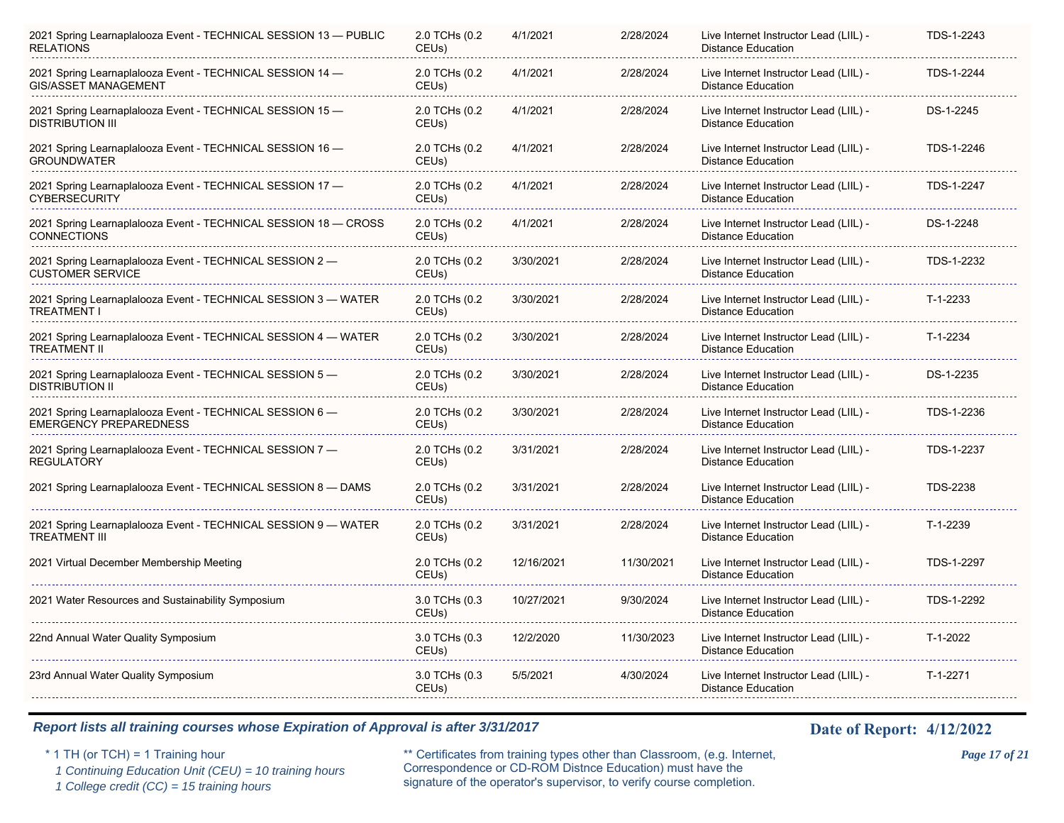| 2021 Spring Learnaplalooza Event - TECHNICAL SESSION 13 - PUBLIC<br><b>RELATIONS</b>      | 2.0 TCHs (0.2<br>CEU <sub>s</sub> ) | 4/1/2021   | 2/28/2024  | Live Internet Instructor Lead (LIIL) -<br><b>Distance Education</b> | TDS-1-2243      |
|-------------------------------------------------------------------------------------------|-------------------------------------|------------|------------|---------------------------------------------------------------------|-----------------|
| 2021 Spring Learnaplalooza Event - TECHNICAL SESSION 14 -<br><b>GIS/ASSET MANAGEMENT</b>  | 2.0 TCHs (0.2<br>CEUs)              | 4/1/2021   | 2/28/2024  | Live Internet Instructor Lead (LIIL) -<br><b>Distance Education</b> | TDS-1-2244      |
| 2021 Spring Learnaplalooza Event - TECHNICAL SESSION 15 -<br><b>DISTRIBUTION III</b>      | 2.0 TCHs (0.2<br>CEU <sub>s</sub> ) | 4/1/2021   | 2/28/2024  | Live Internet Instructor Lead (LIIL) -<br><b>Distance Education</b> | DS-1-2245       |
| 2021 Spring Learnaplalooza Event - TECHNICAL SESSION 16 -<br><b>GROUNDWATER</b>           | 2.0 TCHs (0.2<br>CEUs)              | 4/1/2021   | 2/28/2024  | Live Internet Instructor Lead (LIIL) -<br><b>Distance Education</b> | TDS-1-2246      |
| 2021 Spring Learnaplalooza Event - TECHNICAL SESSION 17 -<br><b>CYBERSECURITY</b>         | 2.0 TCHs (0.2<br>CEUs)              | 4/1/2021   | 2/28/2024  | Live Internet Instructor Lead (LIIL) -<br><b>Distance Education</b> | TDS-1-2247      |
| 2021 Spring Learnaplalooza Event - TECHNICAL SESSION 18 - CROSS<br><b>CONNECTIONS</b>     | 2.0 TCHs (0.2<br>CEUs)              | 4/1/2021   | 2/28/2024  | Live Internet Instructor Lead (LIIL) -<br><b>Distance Education</b> | DS-1-2248       |
| 2021 Spring Learnaplalooza Event - TECHNICAL SESSION 2 -<br><b>CUSTOMER SERVICE</b>       | 2.0 TCHs (0.2<br>CEU <sub>s</sub> ) | 3/30/2021  | 2/28/2024  | Live Internet Instructor Lead (LIIL) -<br><b>Distance Education</b> | TDS-1-2232      |
| 2021 Spring Learnaplalooza Event - TECHNICAL SESSION 3 - WATER<br><b>TREATMENT I</b>      | 2.0 TCHs (0.2<br>CEU <sub>s</sub> ) | 3/30/2021  | 2/28/2024  | Live Internet Instructor Lead (LIIL) -<br><b>Distance Education</b> | T-1-2233        |
| 2021 Spring Learnaplalooza Event - TECHNICAL SESSION 4 - WATER<br><b>TREATMENT II</b>     | 2.0 TCHs (0.2<br>CEUs)              | 3/30/2021  | 2/28/2024  | Live Internet Instructor Lead (LIIL) -<br><b>Distance Education</b> | T-1-2234        |
| 2021 Spring Learnaplalooza Event - TECHNICAL SESSION 5 -<br><b>DISTRIBUTION II</b>        | 2.0 TCHs (0.2<br>CEUs)              | 3/30/2021  | 2/28/2024  | Live Internet Instructor Lead (LIIL) -<br><b>Distance Education</b> | DS-1-2235       |
| 2021 Spring Learnaplalooza Event - TECHNICAL SESSION 6 -<br><b>EMERGENCY PREPAREDNESS</b> | 2.0 TCHs (0.2<br>CEUs)              | 3/30/2021  | 2/28/2024  | Live Internet Instructor Lead (LIIL) -<br><b>Distance Education</b> | TDS-1-2236      |
| 2021 Spring Learnaplalooza Event - TECHNICAL SESSION 7 -<br><b>REGULATORY</b>             | 2.0 TCHs (0.2<br>CEUs)              | 3/31/2021  | 2/28/2024  | Live Internet Instructor Lead (LIIL) -<br><b>Distance Education</b> | TDS-1-2237      |
| 2021 Spring Learnaplalooza Event - TECHNICAL SESSION 8 - DAMS                             | 2.0 TCHs (0.2<br>CEUs)              | 3/31/2021  | 2/28/2024  | Live Internet Instructor Lead (LIIL) -<br><b>Distance Education</b> | <b>TDS-2238</b> |
| 2021 Spring Learnaplalooza Event - TECHNICAL SESSION 9 - WATER<br><b>TREATMENT III</b>    | 2.0 TCHs (0.2<br>CEUs)              | 3/31/2021  | 2/28/2024  | Live Internet Instructor Lead (LIIL) -<br><b>Distance Education</b> | T-1-2239        |
| 2021 Virtual December Membership Meeting                                                  | 2.0 TCHs (0.2<br>CEUs)              | 12/16/2021 | 11/30/2021 | Live Internet Instructor Lead (LIIL) -<br><b>Distance Education</b> | TDS-1-2297      |
| 2021 Water Resources and Sustainability Symposium                                         | 3.0 TCHs (0.3<br>CEUs)              | 10/27/2021 | 9/30/2024  | Live Internet Instructor Lead (LIIL) -<br><b>Distance Education</b> | TDS-1-2292      |
| 22nd Annual Water Quality Symposium                                                       | 3.0 TCHs (0.3<br>CEU <sub>s</sub> ) | 12/2/2020  | 11/30/2023 | Live Internet Instructor Lead (LIIL) -<br><b>Distance Education</b> | T-1-2022        |
| 23rd Annual Water Quality Symposium                                                       | 3.0 TCHs (0.3<br>CEU <sub>s</sub> ) | 5/5/2021   | 4/30/2024  | Live Internet Instructor Lead (LIIL) -<br><b>Distance Education</b> | T-1-2271        |
|                                                                                           |                                     |            |            |                                                                     |                 |

 *1 Continuing Education Unit (CEU) = 10 training hours*

 *1 College credit (CC) = 15 training hours*

\* 1 TH (or TCH) = 1 Training hour \*\* Certificates from training types other than Classroom, (e.g. Internet, *Page 17 of 21* Correspondence or CD-ROM Distnce Education) must have the signature of the operator's supervisor, to verify course completion.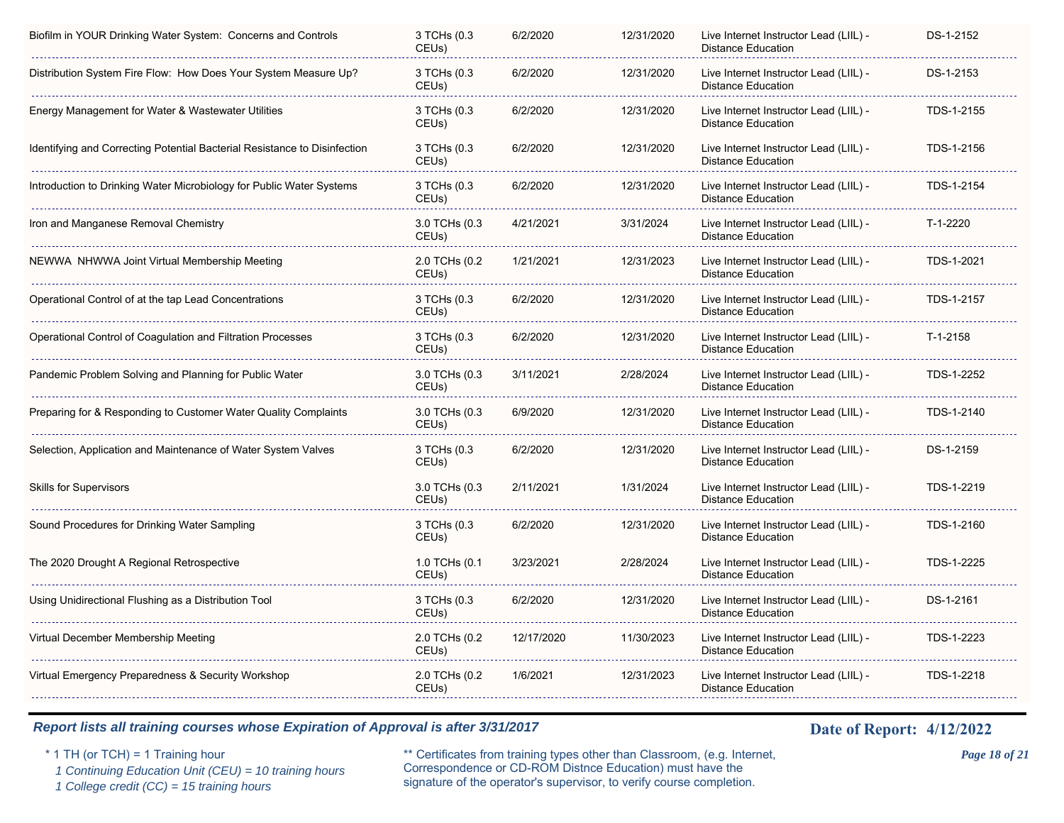| Biofilm in YOUR Drinking Water System: Concerns and Controls              | 3 TCHs (0.3<br>CEUs)   | 6/2/2020   | 12/31/2020 | Live Internet Instructor Lead (LIIL) -<br><b>Distance Education</b> | DS-1-2152  |
|---------------------------------------------------------------------------|------------------------|------------|------------|---------------------------------------------------------------------|------------|
| Distribution System Fire Flow: How Does Your System Measure Up?           | 3 TCHs (0.3<br>CEUs)   | 6/2/2020   | 12/31/2020 | Live Internet Instructor Lead (LIIL) -<br><b>Distance Education</b> | DS-1-2153  |
| Energy Management for Water & Wastewater Utilities                        | 3 TCHs (0.3<br>CEUs)   | 6/2/2020   | 12/31/2020 | Live Internet Instructor Lead (LIIL) -<br><b>Distance Education</b> | TDS-1-2155 |
| Identifying and Correcting Potential Bacterial Resistance to Disinfection | 3 TCHs (0.3<br>CEUs)   | 6/2/2020   | 12/31/2020 | Live Internet Instructor Lead (LIIL) -<br><b>Distance Education</b> | TDS-1-2156 |
| Introduction to Drinking Water Microbiology for Public Water Systems      | 3 TCHs (0.3<br>CEUs)   | 6/2/2020   | 12/31/2020 | Live Internet Instructor Lead (LIIL) -<br><b>Distance Education</b> | TDS-1-2154 |
| Iron and Manganese Removal Chemistry                                      | 3.0 TCHs (0.3<br>CEUs) | 4/21/2021  | 3/31/2024  | Live Internet Instructor Lead (LIIL) -<br><b>Distance Education</b> | T-1-2220   |
| NEWWA NHWWA Joint Virtual Membership Meeting                              | 2.0 TCHs (0.2<br>CEUs) | 1/21/2021  | 12/31/2023 | Live Internet Instructor Lead (LIIL) -<br><b>Distance Education</b> | TDS-1-2021 |
| Operational Control of at the tap Lead Concentrations                     | 3 TCHs (0.3<br>CEUs)   | 6/2/2020   | 12/31/2020 | Live Internet Instructor Lead (LIIL) -<br><b>Distance Education</b> | TDS-1-2157 |
| Operational Control of Coagulation and Filtration Processes               | 3 TCHs (0.3<br>CEUs)   | 6/2/2020   | 12/31/2020 | Live Internet Instructor Lead (LIIL) -<br><b>Distance Education</b> | T-1-2158   |
| Pandemic Problem Solving and Planning for Public Water                    | 3.0 TCHs (0.3<br>CEUs) | 3/11/2021  | 2/28/2024  | Live Internet Instructor Lead (LIIL) -<br><b>Distance Education</b> | TDS-1-2252 |
| Preparing for & Responding to Customer Water Quality Complaints           | 3.0 TCHs (0.3<br>CEUs) | 6/9/2020   | 12/31/2020 | Live Internet Instructor Lead (LIIL) -<br><b>Distance Education</b> | TDS-1-2140 |
| Selection, Application and Maintenance of Water System Valves             | 3 TCHs (0.3<br>CEUs)   | 6/2/2020   | 12/31/2020 | Live Internet Instructor Lead (LIIL) -<br><b>Distance Education</b> | DS-1-2159  |
| <b>Skills for Supervisors</b>                                             | 3.0 TCHs (0.3<br>CEUs) | 2/11/2021  | 1/31/2024  | Live Internet Instructor Lead (LIIL) -<br><b>Distance Education</b> | TDS-1-2219 |
| Sound Procedures for Drinking Water Sampling                              | 3 TCHs (0.3<br>CEUs)   | 6/2/2020   | 12/31/2020 | Live Internet Instructor Lead (LIIL) -<br><b>Distance Education</b> | TDS-1-2160 |
| The 2020 Drought A Regional Retrospective                                 | 1.0 TCHs (0.1<br>CEUs) | 3/23/2021  | 2/28/2024  | Live Internet Instructor Lead (LIIL) -<br><b>Distance Education</b> | TDS-1-2225 |
| Using Unidirectional Flushing as a Distribution Tool                      | 3 TCHs (0.3<br>CEUs)   | 6/2/2020   | 12/31/2020 | Live Internet Instructor Lead (LIIL) -<br><b>Distance Education</b> | DS-1-2161  |
| Virtual December Membership Meeting                                       | 2.0 TCHs (0.2<br>CEUs) | 12/17/2020 | 11/30/2023 | Live Internet Instructor Lead (LIIL) -<br><b>Distance Education</b> | TDS-1-2223 |
| Virtual Emergency Preparedness & Security Workshop                        | 2.0 TCHs (0.2<br>CEUs) | 1/6/2021   | 12/31/2023 | Live Internet Instructor Lead (LIIL) -<br><b>Distance Education</b> | TDS-1-2218 |
|                                                                           |                        |            |            |                                                                     |            |

 *1 Continuing Education Unit (CEU) = 10 training hours*

 *1 College credit (CC) = 15 training hours*

\* 1 TH (or TCH) = 1 Training hour \*\* Certificates from training types other than Classroom, (e.g. Internet, *Page 18 of 21* Correspondence or CD-ROM Distnce Education) must have the signature of the operator's supervisor, to verify course completion.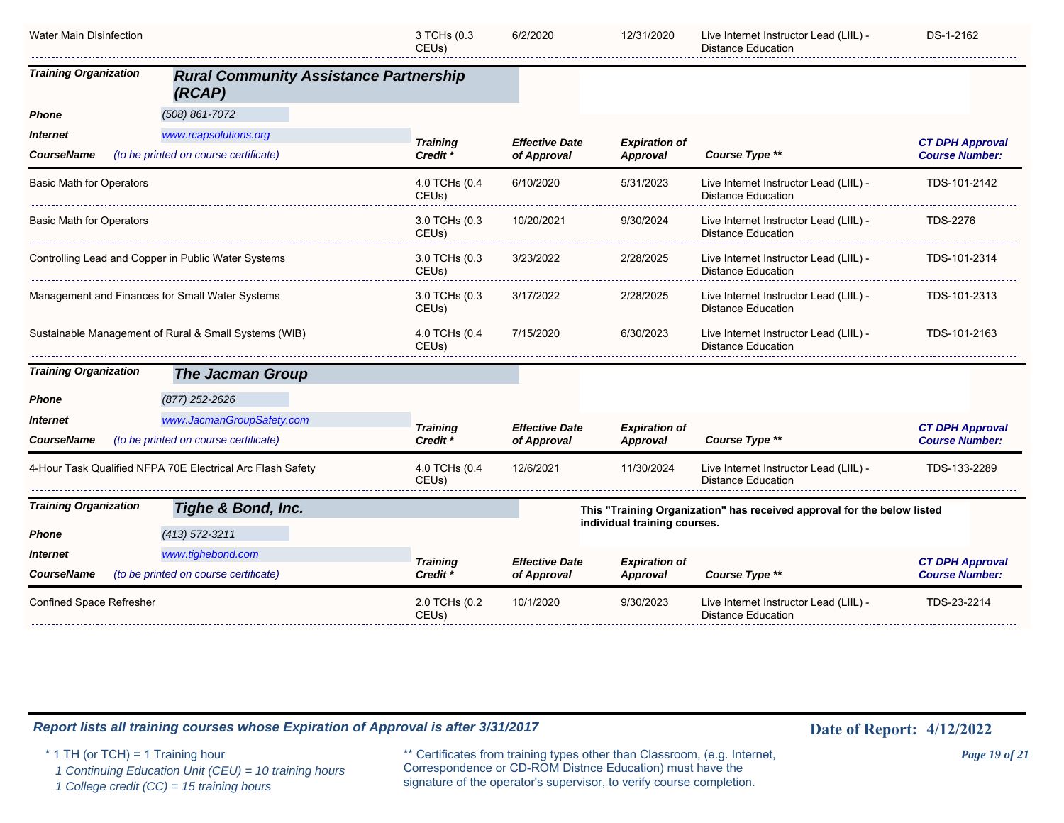| Water Main Disinfection                         |                                                            | 3 TCHs (0.3<br>CEU <sub>s</sub> )   | 6/2/2020              | 12/31/2020                       | Live Internet Instructor Lead (LIIL) -<br><b>Distance Education</b>     | DS-1-2162                                       |
|-------------------------------------------------|------------------------------------------------------------|-------------------------------------|-----------------------|----------------------------------|-------------------------------------------------------------------------|-------------------------------------------------|
| <b>Training Organization</b>                    | <b>Rural Community Assistance Partnership</b><br>(RCAP)    |                                     |                       |                                  |                                                                         |                                                 |
| Phone                                           | $(508) 861 - 7072$                                         |                                     |                       |                                  |                                                                         |                                                 |
| Internet                                        | www.rcapsolutions.org                                      | <b>Training</b>                     | <b>Effective Date</b> | <b>Expiration of</b>             |                                                                         | <b>CT DPH Approval</b>                          |
| <b>CourseName</b>                               | (to be printed on course certificate)                      | Credit *                            | of Approval           | Approval                         | Course Type **                                                          | <b>Course Number:</b>                           |
| <b>Basic Math for Operators</b>                 |                                                            | 4.0 TCHs (0.4<br>CEUs)              | 6/10/2020             | 5/31/2023                        | Live Internet Instructor Lead (LIIL) -<br><b>Distance Education</b>     | TDS-101-2142                                    |
| <b>Basic Math for Operators</b>                 |                                                            | 3.0 TCHs (0.3<br>CEUs)              | 10/20/2021            | 9/30/2024                        | Live Internet Instructor Lead (LIIL) -<br><b>Distance Education</b>     | <b>TDS-2276</b>                                 |
|                                                 | Controlling Lead and Copper in Public Water Systems        | 3.0 TCHs (0.3<br>CEU <sub>s</sub> ) | 3/23/2022             | 2/28/2025                        | Live Internet Instructor Lead (LIIL) -<br><b>Distance Education</b>     | TDS-101-2314                                    |
| Management and Finances for Small Water Systems |                                                            | 3.0 TCHs (0.3<br>CEUs)              | 3/17/2022             | 2/28/2025                        | Live Internet Instructor Lead (LIIL) -<br><b>Distance Education</b>     | TDS-101-2313                                    |
|                                                 | Sustainable Management of Rural & Small Systems (WIB)      | 4.0 TCHs (0.4<br>CEUs)              | 7/15/2020             | 6/30/2023                        | Live Internet Instructor Lead (LIIL) -<br><b>Distance Education</b>     | TDS-101-2163                                    |
| <b>Training Organization</b>                    | <b>The Jacman Group</b>                                    |                                     |                       |                                  |                                                                         |                                                 |
| Phone                                           | (877) 252-2626                                             |                                     |                       |                                  |                                                                         |                                                 |
| Internet                                        | www.JacmanGroupSafety.com                                  | <b>Training</b>                     | <b>Effective Date</b> | <b>Expiration of</b>             |                                                                         | <b>CT DPH Approval</b>                          |
| CourseName                                      | (to be printed on course certificate)                      | Credit *                            | of Approval           | Approval                         | Course Type **                                                          | <b>Course Number:</b>                           |
|                                                 | 4-Hour Task Qualified NFPA 70E Electrical Arc Flash Safety | 4.0 TCHs (0.4<br>CEUs)              | 12/6/2021             | 11/30/2024                       | Live Internet Instructor Lead (LIIL) -<br>Distance Education            | TDS-133-2289                                    |
| <b>Training Organization</b>                    | Tighe & Bond, Inc.                                         |                                     |                       |                                  | This "Training Organization" has received approval for the below listed |                                                 |
| Phone                                           | $(413)$ 572-3211                                           |                                     |                       | individual training courses.     |                                                                         |                                                 |
| Internet                                        | www.tighebond.com                                          |                                     | <b>Effective Date</b> |                                  |                                                                         |                                                 |
| <b>CourseName</b>                               | (to be printed on course certificate)                      | <b>Training</b><br>Credit *         | of Approval           | <b>Expiration of</b><br>Approval | Course Type **                                                          | <b>CT DPH Approval</b><br><b>Course Number:</b> |
| Confined Space Refresher                        |                                                            | 2.0 TCHs (0.2<br>CEUs)              | 10/1/2020             | 9/30/2023                        | Live Internet Instructor Lead (LIIL) -<br>Distance Education            | TDS-23-2214                                     |

 *1 Continuing Education Unit (CEU) = 10 training hours*

 *1 College credit (CC) = 15 training hours*

\* 1 TH (or TCH) = 1 Training hour \*\* Certificates from training types other than Classroom, (e.g. Internet, *Page 19 of 21* Correspondence or CD-ROM Distnce Education) must have the signature of the operator's supervisor, to verify course completion.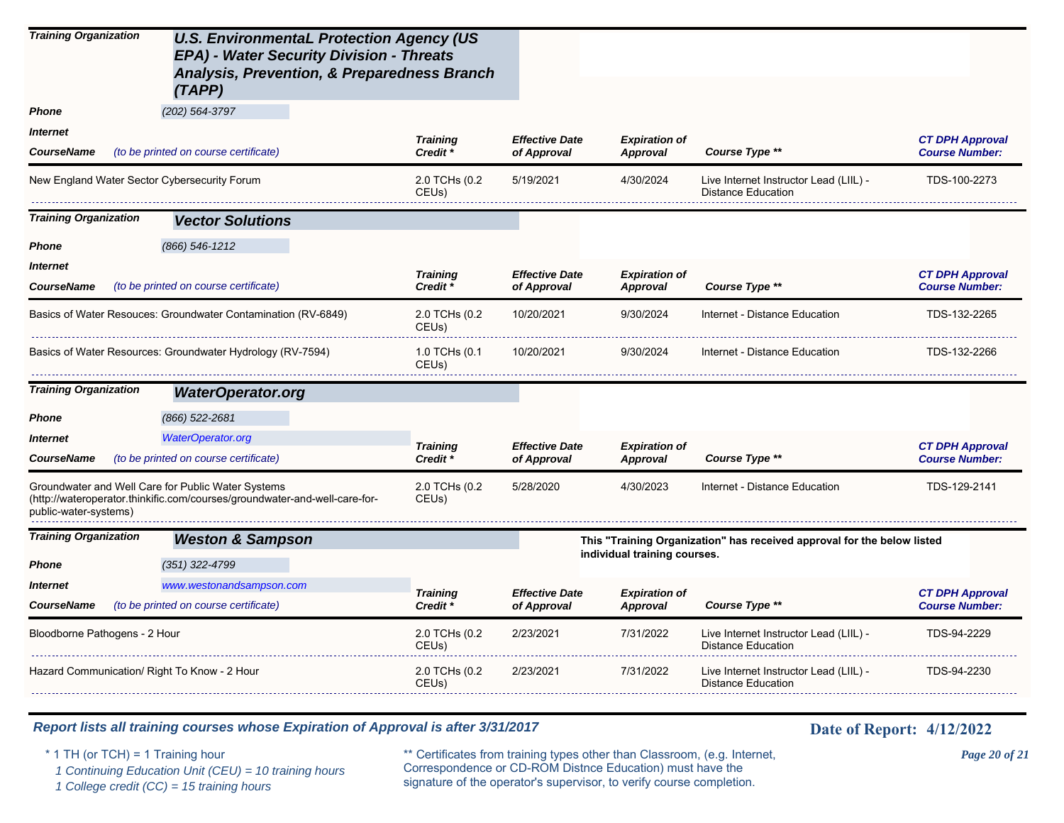| <b>Training Organization</b>                                                | <b>U.S. EnvironmentaL Protection Agency (US</b><br>EPA) - Water Security Division - Threats<br><b>Analysis, Prevention, &amp; Preparedness Branch</b><br>(TAPP) |                                     |                                      |                                  |                                                                         |                                                 |
|-----------------------------------------------------------------------------|-----------------------------------------------------------------------------------------------------------------------------------------------------------------|-------------------------------------|--------------------------------------|----------------------------------|-------------------------------------------------------------------------|-------------------------------------------------|
| <b>Phone</b>                                                                | (202) 564-3797                                                                                                                                                  |                                     |                                      |                                  |                                                                         |                                                 |
| <b>Internet</b>                                                             |                                                                                                                                                                 | <b>Training</b>                     | <b>Effective Date</b>                | <b>Expiration of</b>             |                                                                         | <b>CT DPH Approval</b>                          |
| <b>CourseName</b>                                                           | (to be printed on course certificate)                                                                                                                           | Credit *                            | of Approval                          | <b>Approval</b>                  | Course Type **                                                          | <b>Course Number:</b>                           |
| New England Water Sector Cybersecurity Forum                                |                                                                                                                                                                 | 2.0 TCHs (0.2<br>CEUs)              | 5/19/2021                            | 4/30/2024                        | Live Internet Instructor Lead (LIIL) -<br><b>Distance Education</b>     | TDS-100-2273                                    |
| <b>Training Organization</b>                                                | <b>Vector Solutions</b>                                                                                                                                         |                                     |                                      |                                  |                                                                         |                                                 |
| Phone                                                                       | $(866)$ 546-1212                                                                                                                                                |                                     |                                      |                                  |                                                                         |                                                 |
| <b>Internet</b><br><b>CourseName</b>                                        | (to be printed on course certificate)                                                                                                                           | <b>Training</b><br>Credit *         | <b>Effective Date</b><br>of Approval | <b>Expiration of</b><br>Approval | Course Type **                                                          | <b>CT DPH Approval</b><br><b>Course Number:</b> |
|                                                                             | Basics of Water Resouces: Groundwater Contamination (RV-6849)                                                                                                   | 2.0 TCHs (0.2<br>CEU <sub>s</sub> ) | 10/20/2021                           | 9/30/2024                        | Internet - Distance Education                                           | TDS-132-2265                                    |
|                                                                             | Basics of Water Resources: Groundwater Hydrology (RV-7594)                                                                                                      | 1.0 TCHs (0.1<br>CEUs)              | 10/20/2021                           | 9/30/2024                        | Internet - Distance Education                                           | TDS-132-2266                                    |
| <b>Training Organization</b>                                                | <b>WaterOperator.org</b>                                                                                                                                        |                                     |                                      |                                  |                                                                         |                                                 |
| Phone                                                                       | (866) 522-2681                                                                                                                                                  |                                     |                                      |                                  |                                                                         |                                                 |
| <i><b>Internet</b></i>                                                      | <b>WaterOperator.org</b>                                                                                                                                        | <b>Training</b>                     | <b>Effective Date</b>                | <b>Expiration of</b>             |                                                                         | <b>CT DPH Approval</b>                          |
| <b>CourseName</b>                                                           | (to be printed on course certificate)                                                                                                                           | Credit *                            | of Approval                          | <b>Approval</b>                  | Course Type **                                                          | <b>Course Number:</b>                           |
| Groundwater and Well Care for Public Water Systems<br>public-water-systems) | (http://wateroperator.thinkific.com/courses/groundwater-and-well-care-for-                                                                                      | 2.0 TCHs (0.2<br>CEUs)              | 5/28/2020                            | 4/30/2023                        | Internet - Distance Education                                           | TDS-129-2141                                    |
| <b>Training Organization</b>                                                | <b>Weston &amp; Sampson</b>                                                                                                                                     |                                     |                                      |                                  | This "Training Organization" has received approval for the below listed |                                                 |
| <b>Phone</b>                                                                | $(351)$ 322-4799                                                                                                                                                |                                     |                                      | individual training courses.     |                                                                         |                                                 |
| <b>Internet</b>                                                             | www.westonandsampson.com                                                                                                                                        | <b>Training</b>                     | <b>Effective Date</b>                | <b>Expiration of</b>             |                                                                         | <b>CT DPH Approval</b>                          |
| <b>CourseName</b>                                                           | (to be printed on course certificate)                                                                                                                           | Credit *                            | of Approval                          | <b>Approval</b>                  | Course Type **                                                          | <b>Course Number:</b>                           |
| Bloodborne Pathogens - 2 Hour                                               |                                                                                                                                                                 | 2.0 TCHs (0.2<br>CEUs)              | 2/23/2021                            | 7/31/2022                        | Live Internet Instructor Lead (LIIL) -<br><b>Distance Education</b>     | TDS-94-2229                                     |
| Hazard Communication/ Right To Know - 2 Hour                                |                                                                                                                                                                 | 2.0 TCHs (0.2<br>CEU <sub>s</sub> ) | 2/23/2021                            | 7/31/2022                        | Live Internet Instructor Lead (LIIL) -<br><b>Distance Education</b>     | TDS-94-2230                                     |

 *1 Continuing Education Unit (CEU) = 10 training hours*

 *1 College credit (CC) = 15 training hours*

\* 1 TH (or TCH) = 1 Training hour \*\* Certificates from training types other than Classroom, (e.g. Internet, *Page 20 of 21* Correspondence or CD-ROM Distnce Education) must have the signature of the operator's supervisor, to verify course completion.